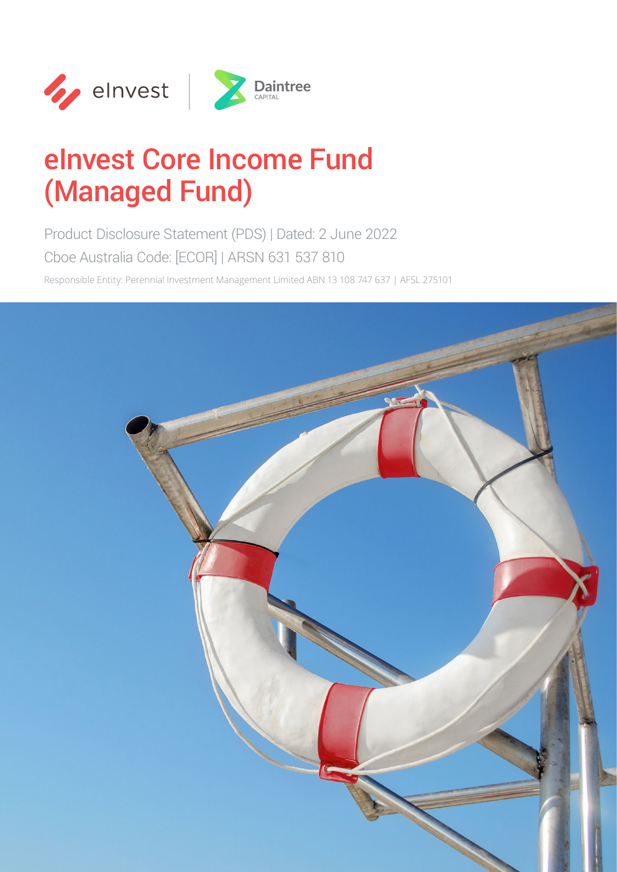

# eInvest Core Income Fund (Managed Fund)

Product Disclosure Statement (PDS) | Dated: 2 June 2022 Cboe Australia Code: [ECOR] | ARSN 631 537 810

Responsible Entity: Perennial Investment Management Limited ABN 13 108 747 637 | AFSL 275101

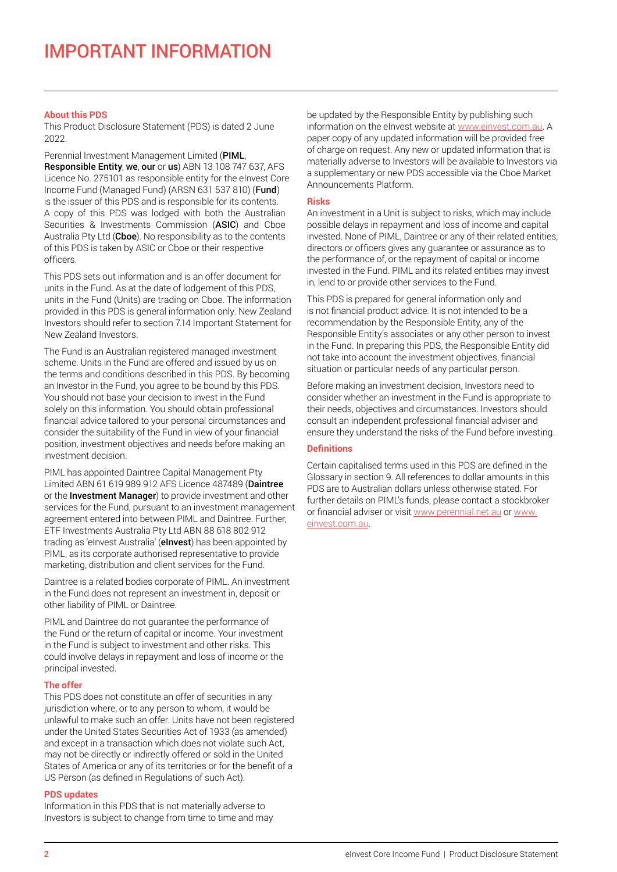## **About this PDS**

This Product Disclosure Statement (PDS) is dated 2 June 2022.

Perennial Investment Management Limited (PIML, Responsible Entity, we, our or us) ABN 13 108 747 637, AFS Licence No. 275101 as responsible entity for the eInvest Core Income Fund (Managed Fund) (ARSN 631 537 810) (Fund) is the issuer of this PDS and is responsible for its contents. A copy of this PDS was lodged with both the Australian Securities & Investments Commission (ASIC) and Cboe Australia Pty Ltd (Cboe). No responsibility as to the contents of this PDS is taken by ASIC or Cboe or their respective officers.

This PDS sets out information and is an offer document for units in the Fund. As at the date of lodgement of this PDS, units in the Fund (Units) are trading on Cboe. The information provided in this PDS is general information only. New Zealand Investors should refer to section 7.14 Important Statement for New Zealand Investors.

The Fund is an Australian registered managed investment scheme. Units in the Fund are offered and issued by us on the terms and conditions described in this PDS. By becoming an Investor in the Fund, you agree to be bound by this PDS. You should not base your decision to invest in the Fund solely on this information. You should obtain professional financial advice tailored to your personal circumstances and consider the suitability of the Fund in view of your financial position, investment objectives and needs before making an investment decision.

PIML has appointed Daintree Capital Management Pty Limited ABN 61 619 989 912 AFS Licence 487489 (Daintree or the **Investment Manager**) to provide investment and other services for the Fund, pursuant to an investment management agreement entered into between PIML and Daintree. Further, ETF Investments Australia Pty Ltd ABN 88 618 802 912 trading as 'eInvest Australia' (elnvest) has been appointed by PIML, as its corporate authorised representative to provide marketing, distribution and client services for the Fund.

Daintree is a related bodies corporate of PIML. An investment in the Fund does not represent an investment in, deposit or other liability of PIML or Daintree.

PIML and Daintree do not guarantee the performance of the Fund or the return of capital or income. Your investment in the Fund is subject to investment and other risks. This could involve delays in repayment and loss of income or the principal invested.

## **The offer**

This PDS does not constitute an offer of securities in any jurisdiction where, or to any person to whom, it would be unlawful to make such an offer. Units have not been registered under the United States Securities Act of 1933 (as amended) and except in a transaction which does not violate such Act, may not be directly or indirectly offered or sold in the United States of America or any of its territories or for the benefit of a US Person (as defined in Regulations of such Act).

#### **PDS updates**

Information in this PDS that is not materially adverse to Investors is subject to change from time to time and may be updated by the Responsible Entity by publishing such information on the eInvest website at www.einvest.com.au. A paper copy of any updated information will be provided free of charge on request. Any new or updated information that is materially adverse to Investors will be available to Investors via a supplementary or new PDS accessible via the Cboe Market Announcements Platform.

#### **Risks**

An investment in a Unit is subject to risks, which may include possible delays in repayment and loss of income and capital invested. None of PIML, Daintree or any of their related entities, directors or officers gives any guarantee or assurance as to the performance of, or the repayment of capital or income invested in the Fund. PIML and its related entities may invest in, lend to or provide other services to the Fund.

This PDS is prepared for general information only and is not financial product advice. It is not intended to be a recommendation by the Responsible Entity, any of the Responsible Entity's associates or any other person to invest in the Fund. In preparing this PDS, the Responsible Entity did not take into account the investment objectives, financial situation or particular needs of any particular person.

Before making an investment decision, Investors need to consider whether an investment in the Fund is appropriate to their needs, objectives and circumstances. Investors should consult an independent professional financial adviser and ensure they understand the risks of the Fund before investing.

## **Definitions**

Certain capitalised terms used in this PDS are defined in the Glossary in section 9. All references to dollar amounts in this PDS are to Australian dollars unless otherwise stated. For further details on PIML's funds, please contact a stockbroker or financial adviser or visit www.perennial.net.au or www. einvest.com.au.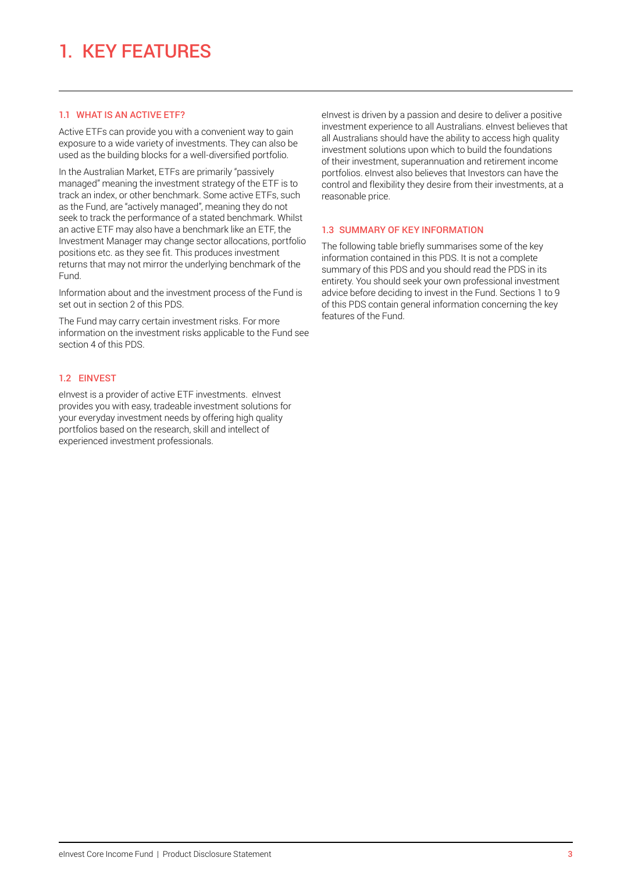## 1.1 WHAT IS AN ACTIVE ETF?

Active ETFs can provide you with a convenient way to gain exposure to a wide variety of investments. They can also be used as the building blocks for a well-diversified portfolio.

In the Australian Market, ETFs are primarily "passively managed" meaning the investment strategy of the ETF is to track an index, or other benchmark. Some active ETFs, such as the Fund, are "actively managed", meaning they do not seek to track the performance of a stated benchmark. Whilst an active ETF may also have a benchmark like an ETF, the Investment Manager may change sector allocations, portfolio positions etc. as they see fit. This produces investment returns that may not mirror the underlying benchmark of the Fund.

Information about and the investment process of the Fund is set out in section 2 of this PDS.

The Fund may carry certain investment risks. For more information on the investment risks applicable to the Fund see section 4 of this PDS.

## 1.2 EINVEST

eInvest is a provider of active ETF investments. eInvest provides you with easy, tradeable investment solutions for your everyday investment needs by offering high quality portfolios based on the research, skill and intellect of experienced investment professionals.

elnvest is driven by a passion and desire to deliver a positive investment experience to all Australians. eInvest believes that all Australians should have the ability to access high quality investment solutions upon which to build the foundations of their investment, superannuation and retirement income portfolios. eInvest also believes that Investors can have the control and flexibility they desire from their investments, at a reasonable price.

## 1.3 SUMMARY OF KEY INFORMATION

The following table briefly summarises some of the key information contained in this PDS. It is not a complete summary of this PDS and you should read the PDS in its entirety. You should seek your own professional investment advice before deciding to invest in the Fund. Sections 1 to 9 of this PDS contain general information concerning the key features of the Fund.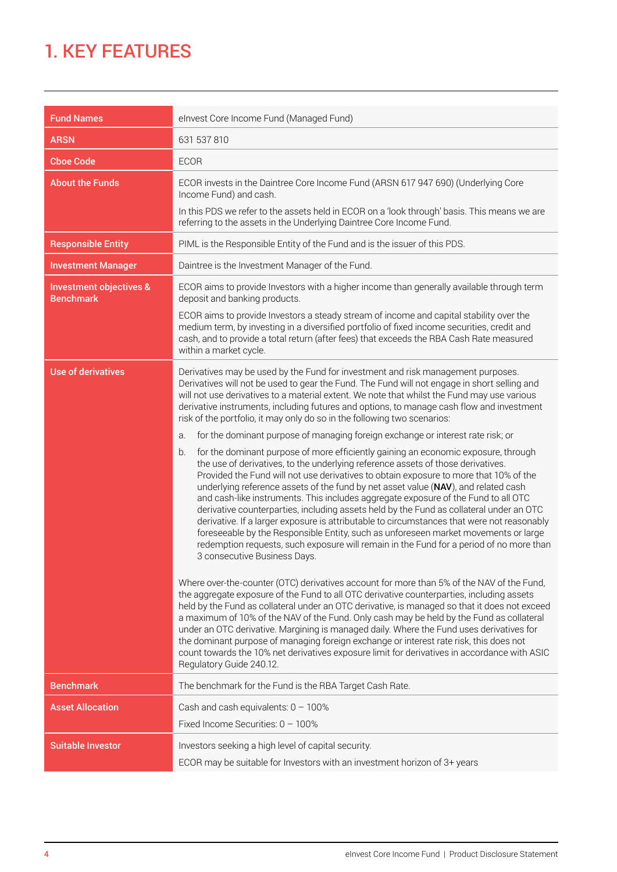## 1. KEY FEATURES

| <b>Fund Names</b>                                      | elnvest Core Income Fund (Managed Fund)                                                                                                                                                                                                                                                                                                                                                                                                                                                                                                                                                                                                                                                                                                                                                                                                                                                                                                                                                                                                                                                                                                                                                                                                                                                                                                                                                                                                                                                                                                                               |  |
|--------------------------------------------------------|-----------------------------------------------------------------------------------------------------------------------------------------------------------------------------------------------------------------------------------------------------------------------------------------------------------------------------------------------------------------------------------------------------------------------------------------------------------------------------------------------------------------------------------------------------------------------------------------------------------------------------------------------------------------------------------------------------------------------------------------------------------------------------------------------------------------------------------------------------------------------------------------------------------------------------------------------------------------------------------------------------------------------------------------------------------------------------------------------------------------------------------------------------------------------------------------------------------------------------------------------------------------------------------------------------------------------------------------------------------------------------------------------------------------------------------------------------------------------------------------------------------------------------------------------------------------------|--|
| <b>ARSN</b>                                            | 631 537 810                                                                                                                                                                                                                                                                                                                                                                                                                                                                                                                                                                                                                                                                                                                                                                                                                                                                                                                                                                                                                                                                                                                                                                                                                                                                                                                                                                                                                                                                                                                                                           |  |
| <b>Choe Code</b>                                       | <b>ECOR</b>                                                                                                                                                                                                                                                                                                                                                                                                                                                                                                                                                                                                                                                                                                                                                                                                                                                                                                                                                                                                                                                                                                                                                                                                                                                                                                                                                                                                                                                                                                                                                           |  |
| <b>About the Funds</b>                                 | ECOR invests in the Daintree Core Income Fund (ARSN 617 947 690) (Underlying Core<br>Income Fund) and cash.                                                                                                                                                                                                                                                                                                                                                                                                                                                                                                                                                                                                                                                                                                                                                                                                                                                                                                                                                                                                                                                                                                                                                                                                                                                                                                                                                                                                                                                           |  |
|                                                        | In this PDS we refer to the assets held in ECOR on a 'look through' basis. This means we are<br>referring to the assets in the Underlying Daintree Core Income Fund.                                                                                                                                                                                                                                                                                                                                                                                                                                                                                                                                                                                                                                                                                                                                                                                                                                                                                                                                                                                                                                                                                                                                                                                                                                                                                                                                                                                                  |  |
| <b>Responsible Entity</b>                              | PIML is the Responsible Entity of the Fund and is the issuer of this PDS.                                                                                                                                                                                                                                                                                                                                                                                                                                                                                                                                                                                                                                                                                                                                                                                                                                                                                                                                                                                                                                                                                                                                                                                                                                                                                                                                                                                                                                                                                             |  |
| <b>Investment Manager</b>                              | Daintree is the Investment Manager of the Fund.                                                                                                                                                                                                                                                                                                                                                                                                                                                                                                                                                                                                                                                                                                                                                                                                                                                                                                                                                                                                                                                                                                                                                                                                                                                                                                                                                                                                                                                                                                                       |  |
| <b>Investment objectives &amp;</b><br><b>Benchmark</b> | ECOR aims to provide Investors with a higher income than generally available through term<br>deposit and banking products.                                                                                                                                                                                                                                                                                                                                                                                                                                                                                                                                                                                                                                                                                                                                                                                                                                                                                                                                                                                                                                                                                                                                                                                                                                                                                                                                                                                                                                            |  |
|                                                        | ECOR aims to provide Investors a steady stream of income and capital stability over the<br>medium term, by investing in a diversified portfolio of fixed income securities, credit and<br>cash, and to provide a total return (after fees) that exceeds the RBA Cash Rate measured<br>within a market cycle.                                                                                                                                                                                                                                                                                                                                                                                                                                                                                                                                                                                                                                                                                                                                                                                                                                                                                                                                                                                                                                                                                                                                                                                                                                                          |  |
| <b>Use of derivatives</b>                              | Derivatives may be used by the Fund for investment and risk management purposes.<br>Derivatives will not be used to gear the Fund. The Fund will not engage in short selling and<br>will not use derivatives to a material extent. We note that whilst the Fund may use various<br>derivative instruments, including futures and options, to manage cash flow and investment<br>risk of the portfolio, it may only do so in the following two scenarios:<br>for the dominant purpose of managing foreign exchange or interest rate risk; or<br>a.                                                                                                                                                                                                                                                                                                                                                                                                                                                                                                                                                                                                                                                                                                                                                                                                                                                                                                                                                                                                                     |  |
|                                                        | for the dominant purpose of more efficiently gaining an economic exposure, through<br>b.<br>the use of derivatives, to the underlying reference assets of those derivatives.<br>Provided the Fund will not use derivatives to obtain exposure to more that 10% of the<br>underlying reference assets of the fund by net asset value (NAV), and related cash<br>and cash-like instruments. This includes aggregate exposure of the Fund to all OTC<br>derivative counterparties, including assets held by the Fund as collateral under an OTC<br>derivative. If a larger exposure is attributable to circumstances that were not reasonably<br>foreseeable by the Responsible Entity, such as unforeseen market movements or large<br>redemption requests, such exposure will remain in the Fund for a period of no more than<br>3 consecutive Business Days.<br>Where over-the-counter (OTC) derivatives account for more than 5% of the NAV of the Fund,<br>the aggregate exposure of the Fund to all OTC derivative counterparties, including assets<br>held by the Fund as collateral under an OTC derivative, is managed so that it does not exceed<br>a maximum of 10% of the NAV of the Fund. Only cash may be held by the Fund as collateral<br>under an OTC derivative. Margining is managed daily. Where the Fund uses derivatives for<br>the dominant purpose of managing foreign exchange or interest rate risk, this does not<br>count towards the 10% net derivatives exposure limit for derivatives in accordance with ASIC<br>Regulatory Guide 240.12. |  |
| <b>Benchmark</b>                                       | The benchmark for the Fund is the RBA Target Cash Rate.                                                                                                                                                                                                                                                                                                                                                                                                                                                                                                                                                                                                                                                                                                                                                                                                                                                                                                                                                                                                                                                                                                                                                                                                                                                                                                                                                                                                                                                                                                               |  |
| <b>Asset Allocation</b>                                | Cash and cash equivalents: $0 - 100\%$<br>Fixed Income Securities: $0 - 100\%$                                                                                                                                                                                                                                                                                                                                                                                                                                                                                                                                                                                                                                                                                                                                                                                                                                                                                                                                                                                                                                                                                                                                                                                                                                                                                                                                                                                                                                                                                        |  |
| <b>Suitable Investor</b>                               | Investors seeking a high level of capital security.<br>ECOR may be suitable for Investors with an investment horizon of 3+ years                                                                                                                                                                                                                                                                                                                                                                                                                                                                                                                                                                                                                                                                                                                                                                                                                                                                                                                                                                                                                                                                                                                                                                                                                                                                                                                                                                                                                                      |  |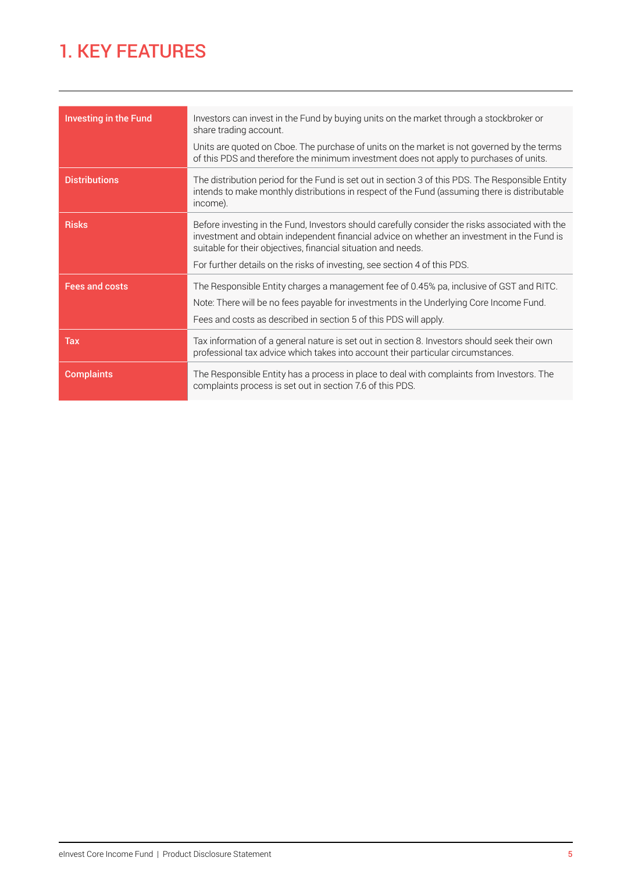## 1. KEY FEATURES

| <b>Investing in the Fund</b> | Investors can invest in the Fund by buying units on the market through a stockbroker or<br>share trading account.<br>Units are quoted on Cboe. The purchase of units on the market is not governed by the terms<br>of this PDS and therefore the minimum investment does not apply to purchases of units.                                   |
|------------------------------|---------------------------------------------------------------------------------------------------------------------------------------------------------------------------------------------------------------------------------------------------------------------------------------------------------------------------------------------|
| <b>Distributions</b>         | The distribution period for the Fund is set out in section 3 of this PDS. The Responsible Entity<br>intends to make monthly distributions in respect of the Fund (assuming there is distributable<br>income).                                                                                                                               |
| <b>Risks</b>                 | Before investing in the Fund, Investors should carefully consider the risks associated with the<br>investment and obtain independent financial advice on whether an investment in the Fund is<br>suitable for their objectives, financial situation and needs.<br>For further details on the risks of investing, see section 4 of this PDS. |
| <b>Fees and costs</b>        | The Responsible Entity charges a management fee of 0.45% pa, inclusive of GST and RITC.<br>Note: There will be no fees payable for investments in the Underlying Core Income Fund.<br>Fees and costs as described in section 5 of this PDS will apply.                                                                                      |
| Tax                          | Tax information of a general nature is set out in section 8. Investors should seek their own<br>professional tax advice which takes into account their particular circumstances.                                                                                                                                                            |
| <b>Complaints</b>            | The Responsible Entity has a process in place to deal with complaints from Investors. The<br>complaints process is set out in section 7.6 of this PDS.                                                                                                                                                                                      |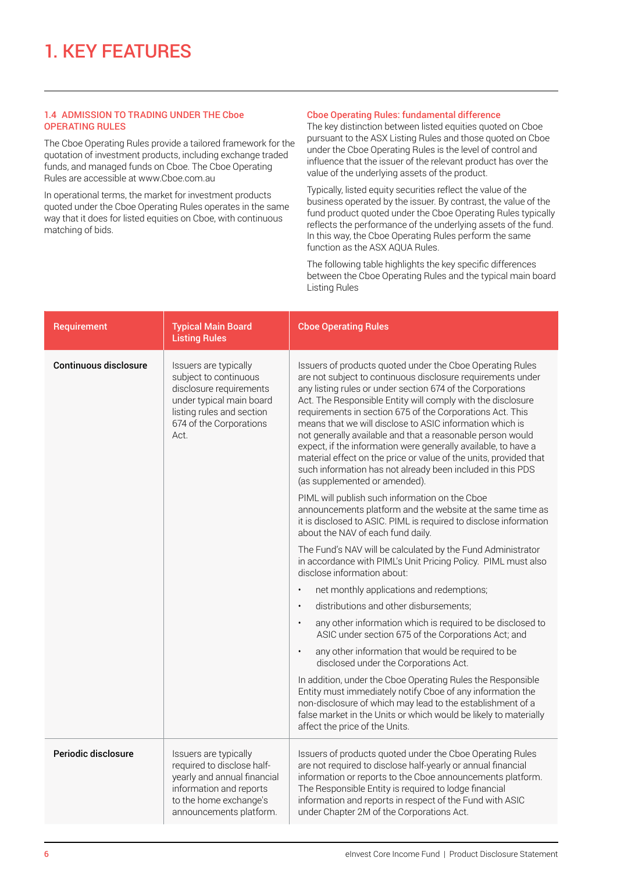## 1.4 ADMISSION TO TRADING UNDER THE Cboe OPERATING RULES

The Cboe Operating Rules provide a tailored framework for the quotation of investment products, including exchange traded funds, and managed funds on Cboe. The Cboe Operating Rules are accessible at www.Cboe.com.au

In operational terms, the market for investment products quoted under the Cboe Operating Rules operates in the same way that it does for listed equities on Cboe, with continuous matching of bids.

#### Cboe Operating Rules: fundamental difference

The key distinction between listed equities quoted on Cboe pursuant to the ASX Listing Rules and those quoted on Cboe under the Cboe Operating Rules is the level of control and influence that the issuer of the relevant product has over the value of the underlying assets of the product.

Typically, listed equity securities reflect the value of the business operated by the issuer. By contrast, the value of the fund product quoted under the Cboe Operating Rules typically reflects the performance of the underlying assets of the fund. In this way, the Cboe Operating Rules perform the same function as the ASX AQUA Rules.

The following table highlights the key specific differences between the Cboe Operating Rules and the typical main board Listing Rules

| Requirement                  | <b>Typical Main Board</b><br><b>Listing Rules</b>                                                                                                                     | <b>Choe Operating Rules</b>                                                                                                                                                                                                                                                                                                                                                                                                                                                                                                                                                                                                                                                        |
|------------------------------|-----------------------------------------------------------------------------------------------------------------------------------------------------------------------|------------------------------------------------------------------------------------------------------------------------------------------------------------------------------------------------------------------------------------------------------------------------------------------------------------------------------------------------------------------------------------------------------------------------------------------------------------------------------------------------------------------------------------------------------------------------------------------------------------------------------------------------------------------------------------|
| <b>Continuous disclosure</b> | Issuers are typically<br>subject to continuous<br>disclosure requirements<br>under typical main board<br>listing rules and section<br>674 of the Corporations<br>Act. | Issuers of products quoted under the Cboe Operating Rules<br>are not subject to continuous disclosure requirements under<br>any listing rules or under section 674 of the Corporations<br>Act. The Responsible Entity will comply with the disclosure<br>requirements in section 675 of the Corporations Act. This<br>means that we will disclose to ASIC information which is<br>not generally available and that a reasonable person would<br>expect, if the information were generally available, to have a<br>material effect on the price or value of the units, provided that<br>such information has not already been included in this PDS<br>(as supplemented or amended). |
|                              |                                                                                                                                                                       | PIML will publish such information on the Cboe<br>announcements platform and the website at the same time as<br>it is disclosed to ASIC. PIML is required to disclose information<br>about the NAV of each fund daily.                                                                                                                                                                                                                                                                                                                                                                                                                                                             |
|                              |                                                                                                                                                                       | The Fund's NAV will be calculated by the Fund Administrator<br>in accordance with PIML's Unit Pricing Policy. PIML must also<br>disclose information about:                                                                                                                                                                                                                                                                                                                                                                                                                                                                                                                        |
|                              |                                                                                                                                                                       | net monthly applications and redemptions;<br>$\bullet$                                                                                                                                                                                                                                                                                                                                                                                                                                                                                                                                                                                                                             |
|                              |                                                                                                                                                                       | distributions and other disbursements;<br>$\bullet$                                                                                                                                                                                                                                                                                                                                                                                                                                                                                                                                                                                                                                |
|                              |                                                                                                                                                                       | any other information which is required to be disclosed to<br>$\bullet$<br>ASIC under section 675 of the Corporations Act; and                                                                                                                                                                                                                                                                                                                                                                                                                                                                                                                                                     |
|                              |                                                                                                                                                                       | any other information that would be required to be<br>disclosed under the Corporations Act.                                                                                                                                                                                                                                                                                                                                                                                                                                                                                                                                                                                        |
|                              |                                                                                                                                                                       | In addition, under the Cboe Operating Rules the Responsible<br>Entity must immediately notify Cboe of any information the<br>non-disclosure of which may lead to the establishment of a<br>false market in the Units or which would be likely to materially<br>affect the price of the Units.                                                                                                                                                                                                                                                                                                                                                                                      |
| Periodic disclosure          | Issuers are typically<br>required to disclose half-<br>yearly and annual financial<br>information and reports<br>to the home exchange's<br>announcements platform.    | Issuers of products quoted under the Cboe Operating Rules<br>are not required to disclose half-yearly or annual financial<br>information or reports to the Cboe announcements platform.<br>The Responsible Entity is required to lodge financial<br>information and reports in respect of the Fund with ASIC<br>under Chapter 2M of the Corporations Act.                                                                                                                                                                                                                                                                                                                          |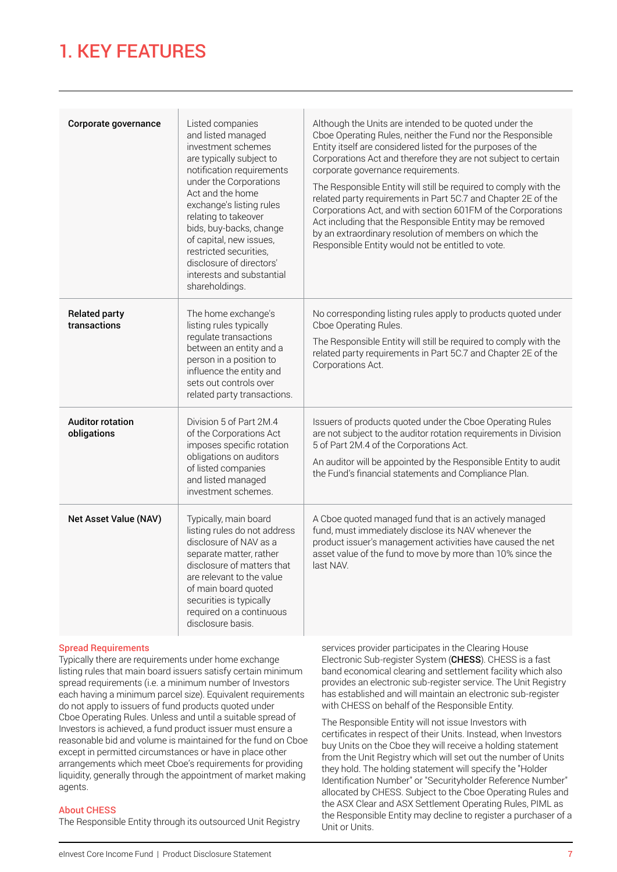## 1. KEY FEATURES

| Corporate governance                   | Listed companies<br>and listed managed<br>investment schemes<br>are typically subject to<br>notification requirements<br>under the Corporations<br>Act and the home<br>exchange's listing rules<br>relating to takeover<br>bids, buy-backs, change<br>of capital, new issues,<br>restricted securities,<br>disclosure of directors'<br>interests and substantial<br>shareholdings. | Although the Units are intended to be quoted under the<br>Cboe Operating Rules, neither the Fund nor the Responsible<br>Entity itself are considered listed for the purposes of the<br>Corporations Act and therefore they are not subject to certain<br>corporate governance requirements.<br>The Responsible Entity will still be required to comply with the<br>related party requirements in Part 5C.7 and Chapter 2E of the<br>Corporations Act, and with section 601FM of the Corporations<br>Act including that the Responsible Entity may be removed<br>by an extraordinary resolution of members on which the<br>Responsible Entity would not be entitled to vote. |
|----------------------------------------|------------------------------------------------------------------------------------------------------------------------------------------------------------------------------------------------------------------------------------------------------------------------------------------------------------------------------------------------------------------------------------|-----------------------------------------------------------------------------------------------------------------------------------------------------------------------------------------------------------------------------------------------------------------------------------------------------------------------------------------------------------------------------------------------------------------------------------------------------------------------------------------------------------------------------------------------------------------------------------------------------------------------------------------------------------------------------|
| <b>Related party</b><br>transactions   | The home exchange's<br>listing rules typically<br>regulate transactions<br>between an entity and a<br>person in a position to<br>influence the entity and<br>sets out controls over<br>related party transactions.                                                                                                                                                                 | No corresponding listing rules apply to products quoted under<br>Cboe Operating Rules.<br>The Responsible Entity will still be required to comply with the<br>related party requirements in Part 5C.7 and Chapter 2E of the<br>Corporations Act.                                                                                                                                                                                                                                                                                                                                                                                                                            |
| <b>Auditor rotation</b><br>obligations | Division 5 of Part 2M.4<br>of the Corporations Act<br>imposes specific rotation<br>obligations on auditors<br>of listed companies<br>and listed managed<br>investment schemes.                                                                                                                                                                                                     | Issuers of products quoted under the Cboe Operating Rules<br>are not subject to the auditor rotation requirements in Division<br>5 of Part 2M.4 of the Corporations Act.<br>An auditor will be appointed by the Responsible Entity to audit<br>the Fund's financial statements and Compliance Plan.                                                                                                                                                                                                                                                                                                                                                                         |
| <b>Net Asset Value (NAV)</b>           | Typically, main board<br>listing rules do not address<br>disclosure of NAV as a<br>separate matter, rather<br>disclosure of matters that<br>are relevant to the value<br>of main board quoted<br>securities is typically<br>required on a continuous<br>disclosure basis.                                                                                                          | A Cboe quoted managed fund that is an actively managed<br>fund, must immediately disclose its NAV whenever the<br>product issuer's management activities have caused the net<br>asset value of the fund to move by more than 10% since the<br>last NAV.                                                                                                                                                                                                                                                                                                                                                                                                                     |

## Spread Requirements

Typically there are requirements under home exchange listing rules that main board issuers satisfy certain minimum spread requirements (i.e. a minimum number of Investors each having a minimum parcel size). Equivalent requirements do not apply to issuers of fund products quoted under Cboe Operating Rules. Unless and until a suitable spread of Investors is achieved, a fund product issuer must ensure a reasonable bid and volume is maintained for the fund on Cboe except in permitted circumstances or have in place other arrangements which meet Cboe's requirements for providing liquidity, generally through the appointment of market making agents.

## About CHESS

The Responsible Entity through its outsourced Unit Registry

services provider participates in the Clearing House Electronic Sub-register System (CHESS). CHESS is a fast band economical clearing and settlement facility which also provides an electronic sub-register service. The Unit Registry has established and will maintain an electronic sub-register with CHESS on behalf of the Responsible Entity.

The Responsible Entity will not issue Investors with certificates in respect of their Units. Instead, when Investors buy Units on the Cboe they will receive a holding statement from the Unit Registry which will set out the number of Units they hold. The holding statement will specify the "Holder Identification Number" or "Securityholder Reference Number" allocated by CHESS. Subject to the Cboe Operating Rules and the ASX Clear and ASX Settlement Operating Rules, PIML as the Responsible Entity may decline to register a purchaser of a Unit or Units.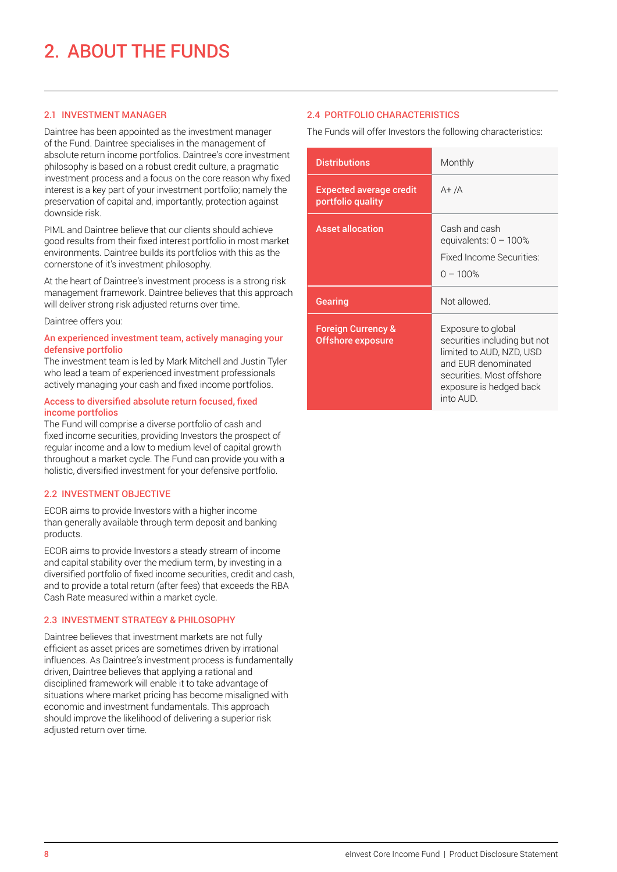## 2.1 INVESTMENT MANAGER

Daintree has been appointed as the investment manager of the Fund. Daintree specialises in the management of absolute return income portfolios. Daintree's core investment philosophy is based on a robust credit culture, a pragmatic investment process and a focus on the core reason why fixed interest is a key part of your investment portfolio; namely the preservation of capital and, importantly, protection against downside risk.

PIML and Daintree believe that our clients should achieve good results from their fixed interest portfolio in most market environments. Daintree builds its portfolios with this as the cornerstone of it's investment philosophy.

At the heart of Daintree's investment process is a strong risk management framework. Daintree believes that this approach will deliver strong risk adjusted returns over time.

Daintree offers you:

## An experienced investment team, actively managing your defensive portfolio

The investment team is led by Mark Mitchell and Justin Tyler who lead a team of experienced investment professionals actively managing your cash and fixed income portfolios.

### Access to diversified absolute return focused, fixed income portfolios

The Fund will comprise a diverse portfolio of cash and fixed income securities, providing Investors the prospect of regular income and a low to medium level of capital growth throughout a market cycle. The Fund can provide you with a holistic, diversified investment for your defensive portfolio.

## 2.2 INVESTMENT OBJECTIVE

ECOR aims to provide Investors with a higher income than generally available through term deposit and banking products.

ECOR aims to provide Investors a steady stream of income and capital stability over the medium term, by investing in a diversified portfolio of fixed income securities, credit and cash, and to provide a total return (after fees) that exceeds the RBA Cash Rate measured within a market cycle.

## 2.3 INVESTMENT STRATEGY & PHILOSOPHY

Daintree believes that investment markets are not fully efficient as asset prices are sometimes driven by irrational influences. As Daintree's investment process is fundamentally driven, Daintree believes that applying a rational and disciplined framework will enable it to take advantage of situations where market pricing has become misaligned with economic and investment fundamentals. This approach should improve the likelihood of delivering a superior risk adjusted return over time.

## 2.4 PORTFOLIO CHARACTERISTICS

The Funds will offer Investors the following characteristics:

| <b>Distributions</b>                                | Monthly                                                                                                                                                                   |  |
|-----------------------------------------------------|---------------------------------------------------------------------------------------------------------------------------------------------------------------------------|--|
| <b>Expected average credit</b><br>portfolio quality | $A+/A$                                                                                                                                                                    |  |
| <b>Asset allocation</b>                             | Cash and cash<br>equivalents: $0 - 100\%$<br>Fixed Income Securities:<br>$0 - 100\%$                                                                                      |  |
| Gearing                                             | Not allowed.                                                                                                                                                              |  |
| <b>Foreign Currency &amp;</b><br>Offshore exposure  | Exposure to global<br>securities including but not<br>limited to AUD, NZD, USD<br>and EUR denominated<br>securities. Most offshore<br>exposure is hedged back<br>into AUD |  |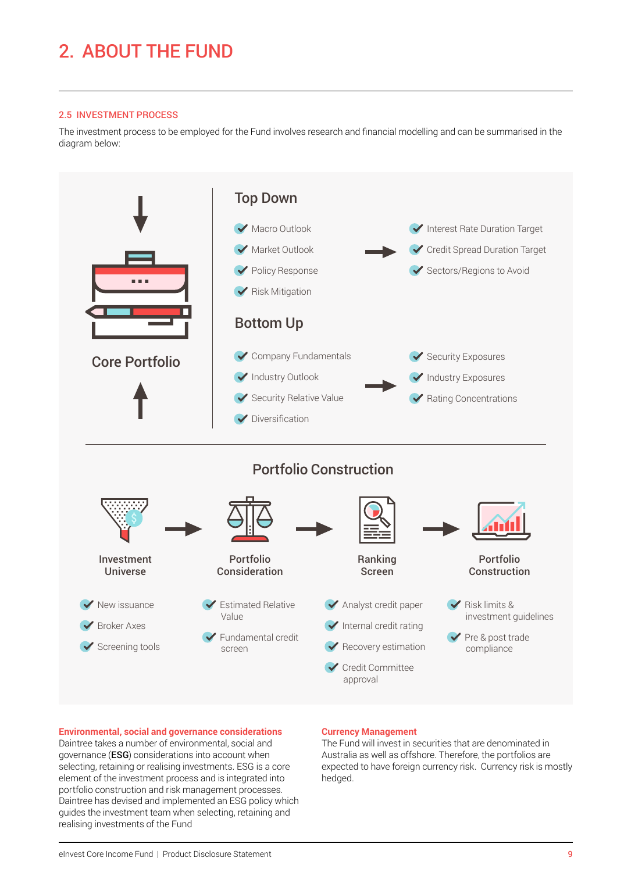## 2. ABOUT THE FUND

## 2.5 INVESTMENT PROCESS

The investment process to be employed for the Fund involves research and financial modelling and can be summarised in the diagram below:



## **Environmental, social and governance considerations**

Daintree takes a number of environmental, social and governance (ESG) considerations into account when selecting, retaining or realising investments. ESG is a core element of the investment process and is integrated into portfolio construction and risk management processes. Daintree has devised and implemented an ESG policy which guides the investment team when selecting, retaining and realising investments of the Fund

## **Currency Management**

The Fund will invest in securities that are denominated in Australia as well as offshore. Therefore, the portfolios are expected to have foreign currency risk. Currency risk is mostly hedged.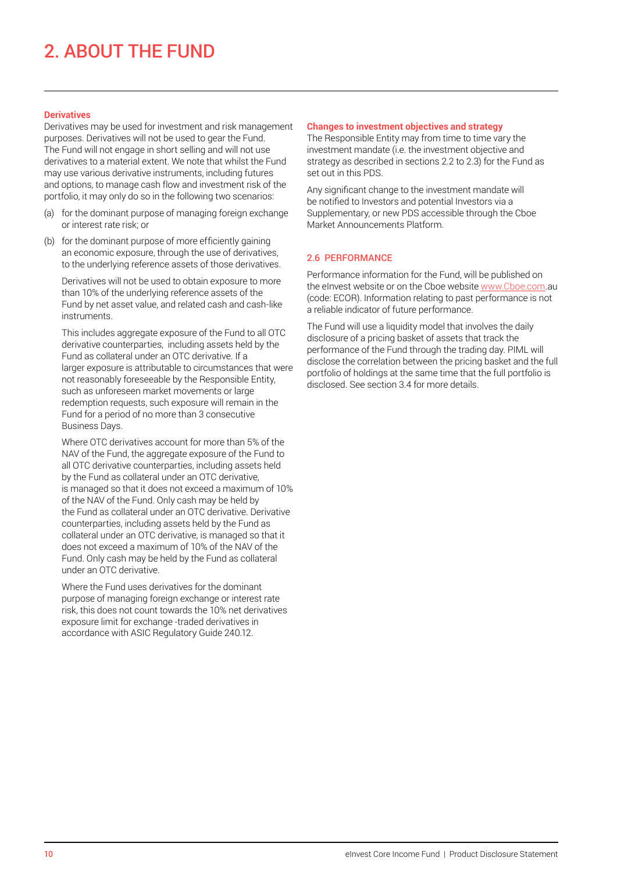## 2. ABOUT THE FUND

## **Derivatives**

Derivatives may be used for investment and risk management purposes. Derivatives will not be used to gear the Fund. The Fund will not engage in short selling and will not use derivatives to a material extent. We note that whilst the Fund may use various derivative instruments, including futures and options, to manage cash flow and investment risk of the portfolio, it may only do so in the following two scenarios:

- (a) for the dominant purpose of managing foreign exchange or interest rate risk; or
- (b) for the dominant purpose of more efficiently gaining an economic exposure, through the use of derivatives, to the underlying reference assets of those derivatives.

Derivatives will not be used to obtain exposure to more than 10% of the underlying reference assets of the Fund by net asset value, and related cash and cash-like instruments.

This includes aggregate exposure of the Fund to all OTC derivative counterparties, including assets held by the Fund as collateral under an OTC derivative. If a larger exposure is attributable to circumstances that were not reasonably foreseeable by the Responsible Entity, such as unforeseen market movements or large redemption requests, such exposure will remain in the Fund for a period of no more than 3 consecutive Business Days.

Where OTC derivatives account for more than 5% of the NAV of the Fund, the aggregate exposure of the Fund to all OTC derivative counterparties, including assets held by the Fund as collateral under an OTC derivative, is managed so that it does not exceed a maximum of 10% of the NAV of the Fund. Only cash may be held by the Fund as collateral under an OTC derivative. Derivative counterparties, including assets held by the Fund as collateral under an OTC derivative, is managed so that it does not exceed a maximum of 10% of the NAV of the Fund. Only cash may be held by the Fund as collateral under an OTC derivative.

Where the Fund uses derivatives for the dominant purpose of managing foreign exchange or interest rate risk, this does not count towards the 10% net derivatives exposure limit for exchange -traded derivatives in accordance with ASIC Regulatory Guide 240.12.

#### **Changes to investment objectives and strategy**

The Responsible Entity may from time to time vary the investment mandate (i.e. the investment objective and strategy as described in sections 2.2 to 2.3) for the Fund as set out in this PDS.

Any significant change to the investment mandate will be notified to Investors and potential Investors via a Supplementary, or new PDS accessible through the Cboe Market Announcements Platform.

## 2.6 PERFORMANCE

Performance information for the Fund, will be published on the eInvest website or on the Cboe website [www.Cboe.com](http://www.Cboe.com).au (code: ECOR). Information relating to past performance is not a reliable indicator of future performance.

The Fund will use a liquidity model that involves the daily disclosure of a pricing basket of assets that track the performance of the Fund through the trading day. PIML will disclose the correlation between the pricing basket and the full portfolio of holdings at the same time that the full portfolio is disclosed. See section 3.4 for more details.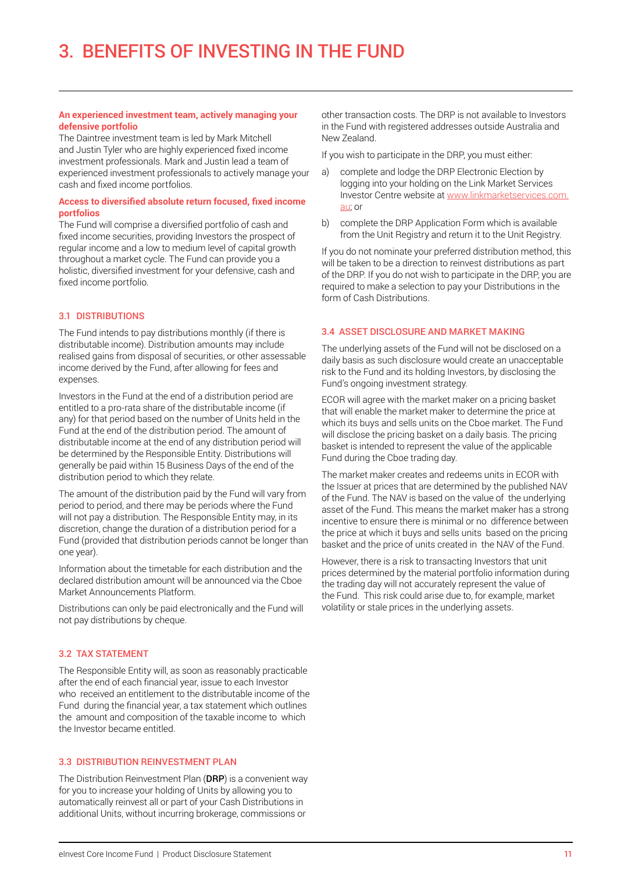#### **An experienced investment team, actively managing your defensive portfolio**

The Daintree investment team is led by Mark Mitchell and Justin Tyler who are highly experienced fixed income investment professionals. Mark and Justin lead a team of experienced investment professionals to actively manage your cash and fixed income portfolios.

## **Access to diversified absolute return focused, fixed income portfolios**

The Fund will comprise a diversified portfolio of cash and fixed income securities, providing Investors the prospect of regular income and a low to medium level of capital growth throughout a market cycle. The Fund can provide you a holistic, diversified investment for your defensive, cash and fixed income portfolio.

## 3.1 DISTRIBUTIONS

The Fund intends to pay distributions monthly (if there is distributable income). Distribution amounts may include realised gains from disposal of securities, or other assessable income derived by the Fund, after allowing for fees and expenses.

Investors in the Fund at the end of a distribution period are entitled to a pro-rata share of the distributable income (if any) for that period based on the number of Units held in the Fund at the end of the distribution period. The amount of distributable income at the end of any distribution period will be determined by the Responsible Entity. Distributions will generally be paid within 15 Business Days of the end of the distribution period to which they relate.

The amount of the distribution paid by the Fund will vary from period to period, and there may be periods where the Fund will not pay a distribution. The Responsible Entity may, in its discretion, change the duration of a distribution period for a Fund (provided that distribution periods cannot be longer than one year).

Information about the timetable for each distribution and the declared distribution amount will be announced via the Cboe Market Announcements Platform.

Distributions can only be paid electronically and the Fund will not pay distributions by cheque.

## 3.2 TAX STATEMENT

The Responsible Entity will, as soon as reasonably practicable after the end of each financial year, issue to each Investor who received an entitlement to the distributable income of the Fund during the financial year, a tax statement which outlines the amount and composition of the taxable income to which the Investor became entitled.

## 3.3 DISTRIBUTION REINVESTMENT PLAN

The Distribution Reinvestment Plan (DRP) is a convenient way for you to increase your holding of Units by allowing you to automatically reinvest all or part of your Cash Distributions in additional Units, without incurring brokerage, commissions or

other transaction costs. The DRP is not available to Investors in the Fund with registered addresses outside Australia and New Zealand.

If you wish to participate in the DRP, you must either:

- a) complete and lodge the DRP Electronic Election by logging into your holding on the Link Market Services Investor Centre website at [www.linkmarketservices.com.](http://www.linkmarketservices.com.au) [au;](http://www.linkmarketservices.com.au) or
- b) complete the DRP Application Form which is available from the Unit Registry and return it to the Unit Registry.

If you do not nominate your preferred distribution method, this will be taken to be a direction to reinvest distributions as part of the DRP. If you do not wish to participate in the DRP, you are required to make a selection to pay your Distributions in the form of Cash Distributions.

#### 3.4 ASSET DISCLOSURE AND MARKET MAKING

The underlying assets of the Fund will not be disclosed on a daily basis as such disclosure would create an unacceptable risk to the Fund and its holding Investors, by disclosing the Fund's ongoing investment strategy.

ECOR will agree with the market maker on a pricing basket that will enable the market maker to determine the price at which its buys and sells units on the Cboe market. The Fund will disclose the pricing basket on a daily basis. The pricing basket is intended to represent the value of the applicable Fund during the Cboe trading day.

The market maker creates and redeems units in ECOR with the Issuer at prices that are determined by the published NAV of the Fund. The NAV is based on the value of the underlying asset of the Fund. This means the market maker has a strong incentive to ensure there is minimal or no difference between the price at which it buys and sells units based on the pricing basket and the price of units created in the NAV of the Fund.

However, there is a risk to transacting Investors that unit prices determined by the material portfolio information during the trading day will not accurately represent the value of the Fund. This risk could arise due to, for example, market volatility or stale prices in the underlying assets.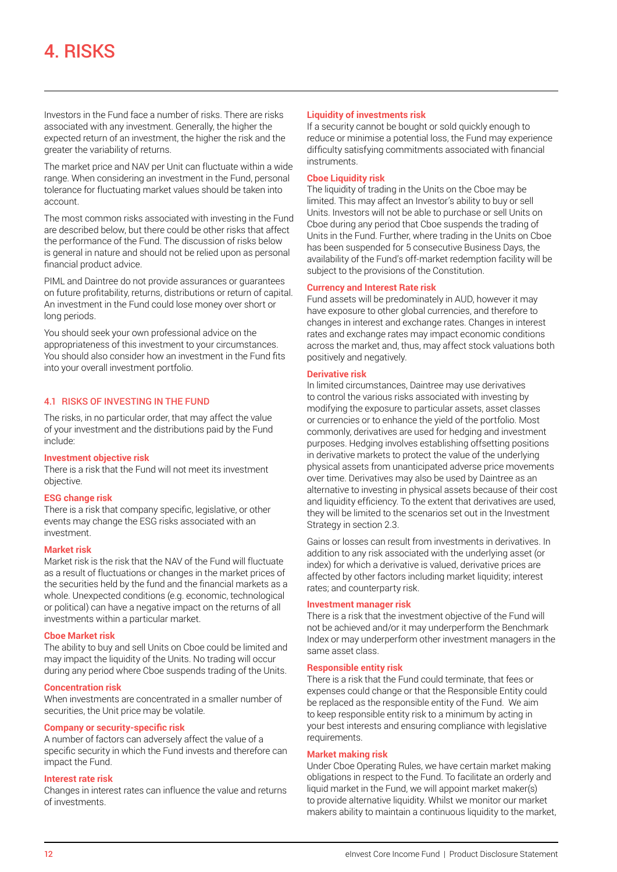Investors in the Fund face a number of risks. There are risks associated with any investment. Generally, the higher the expected return of an investment, the higher the risk and the greater the variability of returns.

The market price and NAV per Unit can fluctuate within a wide range. When considering an investment in the Fund, personal tolerance for fluctuating market values should be taken into account.

The most common risks associated with investing in the Fund are described below, but there could be other risks that affect the performance of the Fund. The discussion of risks below is general in nature and should not be relied upon as personal financial product advice.

PIML and Daintree do not provide assurances or guarantees on future profitability, returns, distributions or return of capital. An investment in the Fund could lose money over short or long periods.

You should seek your own professional advice on the appropriateness of this investment to your circumstances. You should also consider how an investment in the Fund fits into your overall investment portfolio.

## 4.1 RISKS OF INVESTING IN THE FUND

The risks, in no particular order, that may affect the value of your investment and the distributions paid by the Fund include:

#### **Investment objective risk**

There is a risk that the Fund will not meet its investment objective.

## **ESG change risk**

There is a risk that company specific, legislative, or other events may change the ESG risks associated with an investment.

#### **Market risk**

Market risk is the risk that the NAV of the Fund will fluctuate as a result of fluctuations or changes in the market prices of the securities held by the fund and the financial markets as a whole. Unexpected conditions (e.g. economic, technological or political) can have a negative impact on the returns of all investments within a particular market.

#### **Cboe Market risk**

The ability to buy and sell Units on Cboe could be limited and may impact the liquidity of the Units. No trading will occur during any period where Cboe suspends trading of the Units.

## **Concentration risk**

When investments are concentrated in a smaller number of securities, the Unit price may be volatile.

#### **Company or security-specific risk**

A number of factors can adversely affect the value of a specific security in which the Fund invests and therefore can impact the Fund.

#### **Interest rate risk**

Changes in interest rates can influence the value and returns of investments.

#### **Liquidity of investments risk**

If a security cannot be bought or sold quickly enough to reduce or minimise a potential loss, the Fund may experience difficulty satisfying commitments associated with financial instruments.

### **Cboe Liquidity risk**

The liquidity of trading in the Units on the Cboe may be limited. This may affect an Investor's ability to buy or sell Units. Investors will not be able to purchase or sell Units on Cboe during any period that Cboe suspends the trading of Units in the Fund. Further, where trading in the Units on Cboe has been suspended for 5 consecutive Business Days, the availability of the Fund's off-market redemption facility will be subject to the provisions of the Constitution.

## **Currency and Interest Rate risk**

Fund assets will be predominately in AUD, however it may have exposure to other global currencies, and therefore to changes in interest and exchange rates. Changes in interest rates and exchange rates may impact economic conditions across the market and, thus, may affect stock valuations both positively and negatively.

## **Derivative risk**

In limited circumstances, Daintree may use derivatives to control the various risks associated with investing by modifying the exposure to particular assets, asset classes or currencies or to enhance the yield of the portfolio. Most commonly, derivatives are used for hedging and investment purposes. Hedging involves establishing offsetting positions in derivative markets to protect the value of the underlying physical assets from unanticipated adverse price movements over time. Derivatives may also be used by Daintree as an alternative to investing in physical assets because of their cost and liquidity efficiency. To the extent that derivatives are used, they will be limited to the scenarios set out in the Investment Strategy in section 2.3.

Gains or losses can result from investments in derivatives. In addition to any risk associated with the underlying asset (or index) for which a derivative is valued, derivative prices are affected by other factors including market liquidity; interest rates; and counterparty risk.

#### **Investment manager risk**

There is a risk that the investment objective of the Fund will not be achieved and/or it may underperform the Benchmark Index or may underperform other investment managers in the same asset class.

#### **Responsible entity risk**

There is a risk that the Fund could terminate, that fees or expenses could change or that the Responsible Entity could be replaced as the responsible entity of the Fund. We aim to keep responsible entity risk to a minimum by acting in your best interests and ensuring compliance with legislative requirements.

#### **Market making risk**

Under Cboe Operating Rules, we have certain market making obligations in respect to the Fund. To facilitate an orderly and liquid market in the Fund, we will appoint market maker(s) to provide alternative liquidity. Whilst we monitor our market makers ability to maintain a continuous liquidity to the market,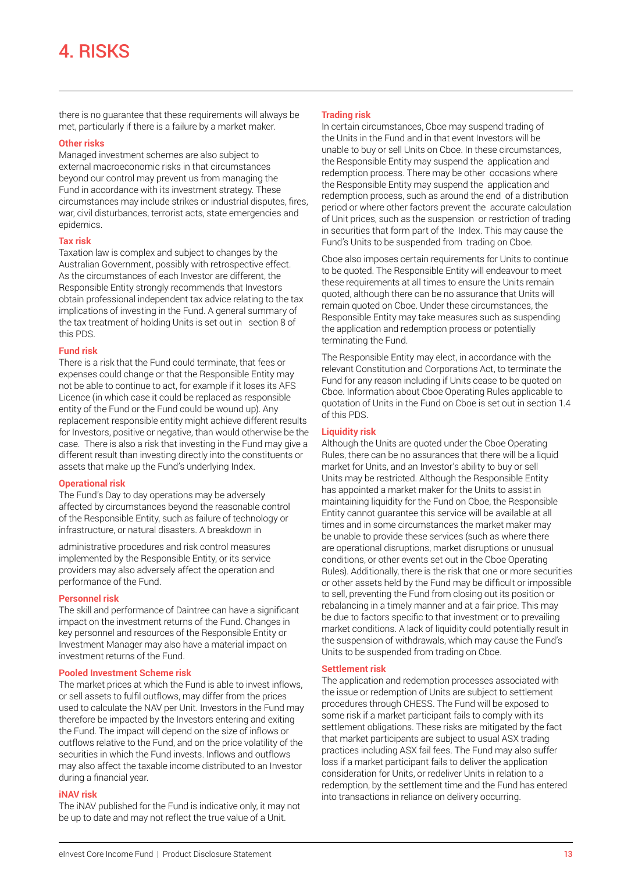## 4. RISKS

there is no guarantee that these requirements will always be met, particularly if there is a failure by a market maker.

#### **Other risks**

Managed investment schemes are also subject to external macroeconomic risks in that circumstances beyond our control may prevent us from managing the Fund in accordance with its investment strategy. These circumstances may include strikes or industrial disputes, fires, war, civil disturbances, terrorist acts, state emergencies and epidemics.

#### **Tax risk**

Taxation law is complex and subject to changes by the Australian Government, possibly with retrospective effect. As the circumstances of each Investor are different, the Responsible Entity strongly recommends that Investors obtain professional independent tax advice relating to the tax implications of investing in the Fund. A general summary of the tax treatment of holding Units is set out in section 8 of this PDS.

#### **Fund risk**

There is a risk that the Fund could terminate, that fees or expenses could change or that the Responsible Entity may not be able to continue to act, for example if it loses its AFS Licence (in which case it could be replaced as responsible entity of the Fund or the Fund could be wound up). Any replacement responsible entity might achieve different results for Investors, positive or negative, than would otherwise be the case. There is also a risk that investing in the Fund may give a different result than investing directly into the constituents or assets that make up the Fund's underlying Index.

## **Operational risk**

The Fund's Day to day operations may be adversely affected by circumstances beyond the reasonable control of the Responsible Entity, such as failure of technology or infrastructure, or natural disasters. A breakdown in

administrative procedures and risk control measures implemented by the Responsible Entity, or its service providers may also adversely affect the operation and performance of the Fund.

#### **Personnel risk**

The skill and performance of Daintree can have a significant impact on the investment returns of the Fund. Changes in key personnel and resources of the Responsible Entity or Investment Manager may also have a material impact on investment returns of the Fund.

#### **Pooled Investment Scheme risk**

The market prices at which the Fund is able to invest inflows, or sell assets to fulfil outflows, may differ from the prices used to calculate the NAV per Unit. Investors in the Fund may therefore be impacted by the Investors entering and exiting the Fund. The impact will depend on the size of inflows or outflows relative to the Fund, and on the price volatility of the securities in which the Fund invests. Inflows and outflows may also affect the taxable income distributed to an Investor during a financial year.

## **iNAV risk**

The iNAV published for the Fund is indicative only, it may not be up to date and may not reflect the true value of a Unit.

## **Trading risk**

In certain circumstances, Cboe may suspend trading of the Units in the Fund and in that event Investors will be unable to buy or sell Units on Cboe. In these circumstances, the Responsible Entity may suspend the application and redemption process. There may be other occasions where the Responsible Entity may suspend the application and redemption process, such as around the end of a distribution period or where other factors prevent the accurate calculation of Unit prices, such as the suspension or restriction of trading in securities that form part of the Index. This may cause the Fund's Units to be suspended from trading on Cboe.

Cboe also imposes certain requirements for Units to continue to be quoted. The Responsible Entity will endeavour to meet these requirements at all times to ensure the Units remain quoted, although there can be no assurance that Units will remain quoted on Cboe. Under these circumstances, the Responsible Entity may take measures such as suspending the application and redemption process or potentially terminating the Fund.

The Responsible Entity may elect, in accordance with the relevant Constitution and Corporations Act, to terminate the Fund for any reason including if Units cease to be quoted on Cboe. Information about Cboe Operating Rules applicable to quotation of Units in the Fund on Cboe is set out in section 1.4 of this PDS.

## **Liquidity risk**

Although the Units are quoted under the Cboe Operating Rules, there can be no assurances that there will be a liquid market for Units, and an Investor's ability to buy or sell Units may be restricted. Although the Responsible Entity has appointed a market maker for the Units to assist in maintaining liquidity for the Fund on Cboe, the Responsible Entity cannot guarantee this service will be available at all times and in some circumstances the market maker may be unable to provide these services (such as where there are operational disruptions, market disruptions or unusual conditions, or other events set out in the Cboe Operating Rules). Additionally, there is the risk that one or more securities or other assets held by the Fund may be difficult or impossible to sell, preventing the Fund from closing out its position or rebalancing in a timely manner and at a fair price. This may be due to factors specific to that investment or to prevailing market conditions. A lack of liquidity could potentially result in the suspension of withdrawals, which may cause the Fund's Units to be suspended from trading on Cboe.

## **Settlement risk**

The application and redemption processes associated with the issue or redemption of Units are subject to settlement procedures through CHESS. The Fund will be exposed to some risk if a market participant fails to comply with its settlement obligations. These risks are mitigated by the fact that market participants are subject to usual ASX trading practices including ASX fail fees. The Fund may also suffer loss if a market participant fails to deliver the application consideration for Units, or redeliver Units in relation to a redemption, by the settlement time and the Fund has entered into transactions in reliance on delivery occurring.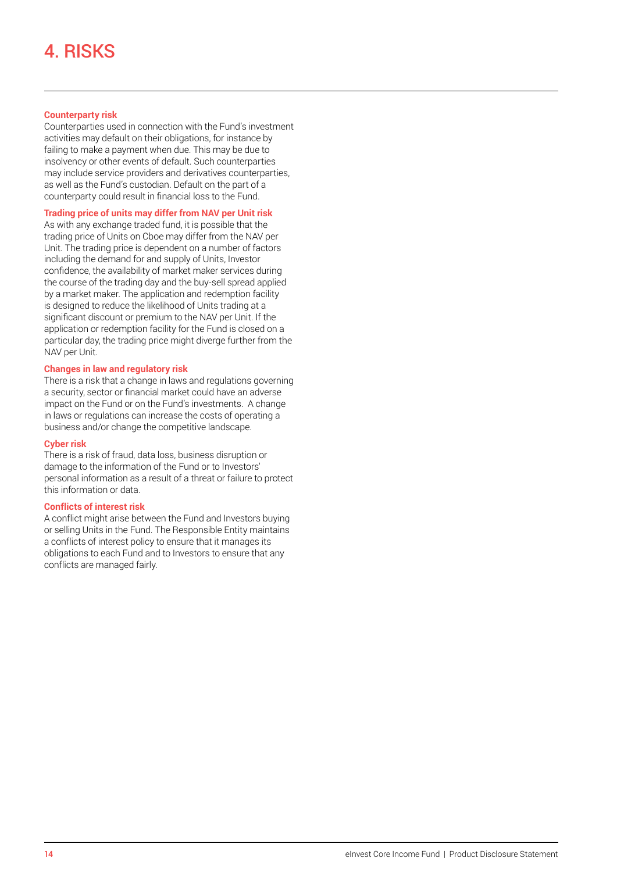## **Counterparty risk**

Counterparties used in connection with the Fund's investment activities may default on their obligations, for instance by failing to make a payment when due. This may be due to insolvency or other events of default. Such counterparties may include service providers and derivatives counterparties, as well as the Fund's custodian. Default on the part of a counterparty could result in financial loss to the Fund.

## **Trading price of units may differ from NAV per Unit risk**

As with any exchange traded fund, it is possible that the trading price of Units on Cboe may differ from the NAV per Unit. The trading price is dependent on a number of factors including the demand for and supply of Units, Investor confidence, the availability of market maker services during the course of the trading day and the buy-sell spread applied by a market maker. The application and redemption facility is designed to reduce the likelihood of Units trading at a significant discount or premium to the NAV per Unit. If the application or redemption facility for the Fund is closed on a particular day, the trading price might diverge further from the NAV per Unit.

### **Changes in law and regulatory risk**

There is a risk that a change in laws and regulations governing a security, sector or financial market could have an adverse impact on the Fund or on the Fund's investments. A change in laws or regulations can increase the costs of operating a business and/or change the competitive landscape.

#### **Cyber risk**

There is a risk of fraud, data loss, business disruption or damage to the information of the Fund or to Investors' personal information as a result of a threat or failure to protect this information or data.

## **Conflicts of interest risk**

A conflict might arise between the Fund and Investors buying or selling Units in the Fund. The Responsible Entity maintains a conflicts of interest policy to ensure that it manages its obligations to each Fund and to Investors to ensure that any conflicts are managed fairly.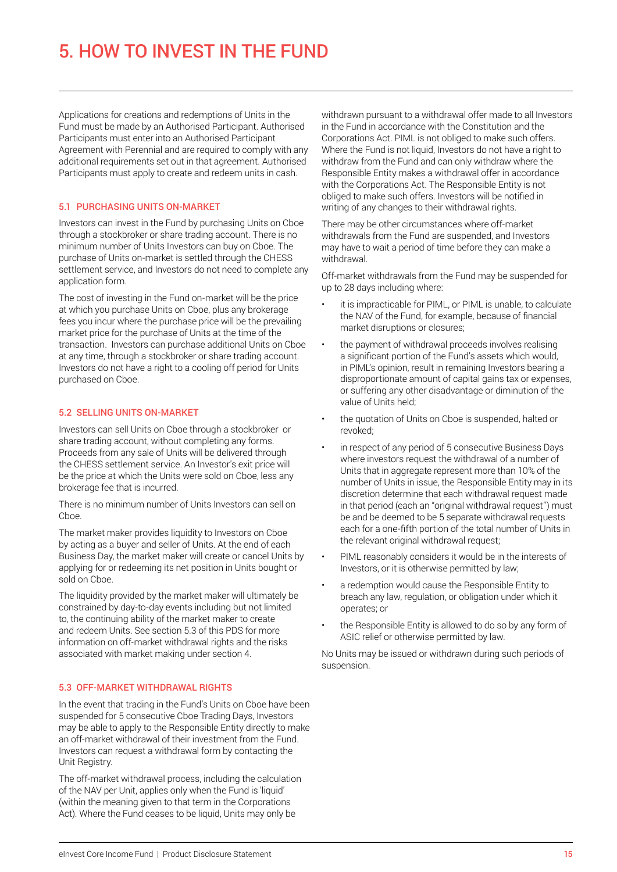Applications for creations and redemptions of Units in the Fund must be made by an Authorised Participant. Authorised Participants must enter into an Authorised Participant Agreement with Perennial and are required to comply with any additional requirements set out in that agreement. Authorised Participants must apply to create and redeem units in cash.

## 5.1 PURCHASING UNITS ON-MARKET

Investors can invest in the Fund by purchasing Units on Cboe through a stockbroker or share trading account. There is no minimum number of Units Investors can buy on Cboe. The purchase of Units on-market is settled through the CHESS settlement service, and Investors do not need to complete any application form.

The cost of investing in the Fund on-market will be the price at which you purchase Units on Cboe, plus any brokerage fees you incur where the purchase price will be the prevailing market price for the purchase of Units at the time of the transaction. Investors can purchase additional Units on Cboe at any time, through a stockbroker or share trading account. Investors do not have a right to a cooling off period for Units purchased on Cboe.

## 5.2 SELLING UNITS ON-MARKET

Investors can sell Units on Cboe through a stockbroker or share trading account, without completing any forms. Proceeds from any sale of Units will be delivered through the CHESS settlement service. An Investor's exit price will be the price at which the Units were sold on Cboe, less any brokerage fee that is incurred.

There is no minimum number of Units Investors can sell on Choe.

The market maker provides liquidity to Investors on Cboe by acting as a buyer and seller of Units. At the end of each Business Day, the market maker will create or cancel Units by applying for or redeeming its net position in Units bought or sold on Cboe.

The liquidity provided by the market maker will ultimately be constrained by day-to-day events including but not limited to, the continuing ability of the market maker to create and redeem Units. See section 5.3 of this PDS for more information on off-market withdrawal rights and the risks associated with market making under section 4.

## 5.3 OFF-MARKET WITHDRAWAL RIGHTS

In the event that trading in the Fund's Units on Cboe have been suspended for 5 consecutive Cboe Trading Days, Investors may be able to apply to the Responsible Entity directly to make an off-market withdrawal of their investment from the Fund. Investors can request a withdrawal form by contacting the Unit Registry.

The off-market withdrawal process, including the calculation of the NAV per Unit, applies only when the Fund is 'liquid' (within the meaning given to that term in the Corporations Act). Where the Fund ceases to be liquid, Units may only be

withdrawn pursuant to a withdrawal offer made to all Investors in the Fund in accordance with the Constitution and the Corporations Act. PIML is not obliged to make such offers. Where the Fund is not liquid, Investors do not have a right to withdraw from the Fund and can only withdraw where the Responsible Entity makes a withdrawal offer in accordance with the Corporations Act. The Responsible Entity is not obliged to make such offers. Investors will be notified in writing of any changes to their withdrawal rights.

There may be other circumstances where off-market withdrawals from the Fund are suspended, and Investors may have to wait a period of time before they can make a withdrawal.

Off-market withdrawals from the Fund may be suspended for up to 28 days including where:

- it is impracticable for PIML, or PIML is unable, to calculate the NAV of the Fund, for example, because of financial market disruptions or closures;
- the payment of withdrawal proceeds involves realising a significant portion of the Fund's assets which would, in PIML's opinion, result in remaining Investors bearing a disproportionate amount of capital gains tax or expenses, or suffering any other disadvantage or diminution of the value of Units held;
- the quotation of Units on Cboe is suspended, halted or revoked;
- in respect of any period of 5 consecutive Business Days where investors request the withdrawal of a number of Units that in aggregate represent more than 10% of the number of Units in issue, the Responsible Entity may in its discretion determine that each withdrawal request made in that period (each an "original withdrawal request") must be and be deemed to be 5 separate withdrawal requests each for a one-fifth portion of the total number of Units in the relevant original withdrawal request;
- PIML reasonably considers it would be in the interests of Investors, or it is otherwise permitted by law;
- a redemption would cause the Responsible Entity to breach any law, regulation, or obligation under which it operates; or
- the Responsible Entity is allowed to do so by any form of ASIC relief or otherwise permitted by law.

No Units may be issued or withdrawn during such periods of suspension.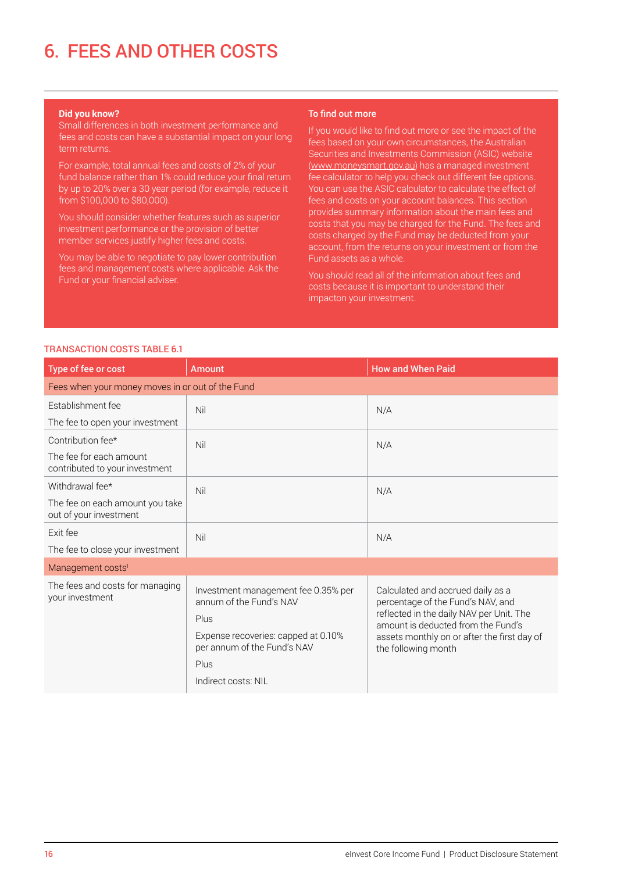#### **Did you know?**

Small differences in both investment performance and fees and costs can have a substantial impact on your long term returns.

For example, total annual fees and costs of 2% of your fund balance rather than 1% could reduce your final return by up to 20% over a 30 year period (for example, reduce it from \$100,000 to \$80,000).

You should consider whether features such as superior investment performance or the provision of better member services justify higher fees and costs.

You may be able to negotiate to pay lower contribution fees and management costs where applicable. Ask the Fund or your financial adviser.

#### To find out more

If you would like to find out more or see the impact of the fees based on your own circumstances, the Australian Securities and Investments Commission (ASIC) website [\(www.moneysmart.gov.au](http://www.moneysmart.gov.au)) has a managed investment fee calculator to help you check out different fee options. You can use the ASIC calculator to calculate the effect of fees and costs on your account balances. This section provides summary information about the main fees and costs that you may be charged for the Fund. The fees and costs charged by the Fund may be deducted from your account, from the returns on your investment or from the Fund assets as a whole.

You should read all of the information about fees and costs because it is important to understand their impacton your investment.

### TRANSACTION COSTS TABLE 6.1

| Type of fee or cost                                       | <b>Amount</b>                                                                                                                                | <b>How and When Paid</b>                                                                                                                                                                                                       |  |
|-----------------------------------------------------------|----------------------------------------------------------------------------------------------------------------------------------------------|--------------------------------------------------------------------------------------------------------------------------------------------------------------------------------------------------------------------------------|--|
| Fees when your money moves in or out of the Fund          |                                                                                                                                              |                                                                                                                                                                                                                                |  |
| Establishment fee                                         | Nil                                                                                                                                          | N/A                                                                                                                                                                                                                            |  |
| The fee to open your investment                           |                                                                                                                                              |                                                                                                                                                                                                                                |  |
| Contribution fee*                                         | Nil                                                                                                                                          | N/A                                                                                                                                                                                                                            |  |
| The fee for each amount<br>contributed to your investment |                                                                                                                                              |                                                                                                                                                                                                                                |  |
| Withdrawal fee*                                           | Nil                                                                                                                                          | N/A                                                                                                                                                                                                                            |  |
| The fee on each amount you take<br>out of your investment |                                                                                                                                              |                                                                                                                                                                                                                                |  |
| Exit fee                                                  | Nil                                                                                                                                          | N/A                                                                                                                                                                                                                            |  |
| The fee to close your investment                          |                                                                                                                                              |                                                                                                                                                                                                                                |  |
| Management costs <sup>1</sup>                             |                                                                                                                                              |                                                                                                                                                                                                                                |  |
| The fees and costs for managing<br>your investment        | Investment management fee 0.35% per<br>annum of the Fund's NAV<br>Plus<br>Expense recoveries: capped at 0.10%<br>per annum of the Fund's NAV | Calculated and accrued daily as a<br>percentage of the Fund's NAV, and<br>reflected in the daily NAV per Unit. The<br>amount is deducted from the Fund's<br>assets monthly on or after the first day of<br>the following month |  |
|                                                           | Plus                                                                                                                                         |                                                                                                                                                                                                                                |  |
|                                                           | Indirect costs: NIL                                                                                                                          |                                                                                                                                                                                                                                |  |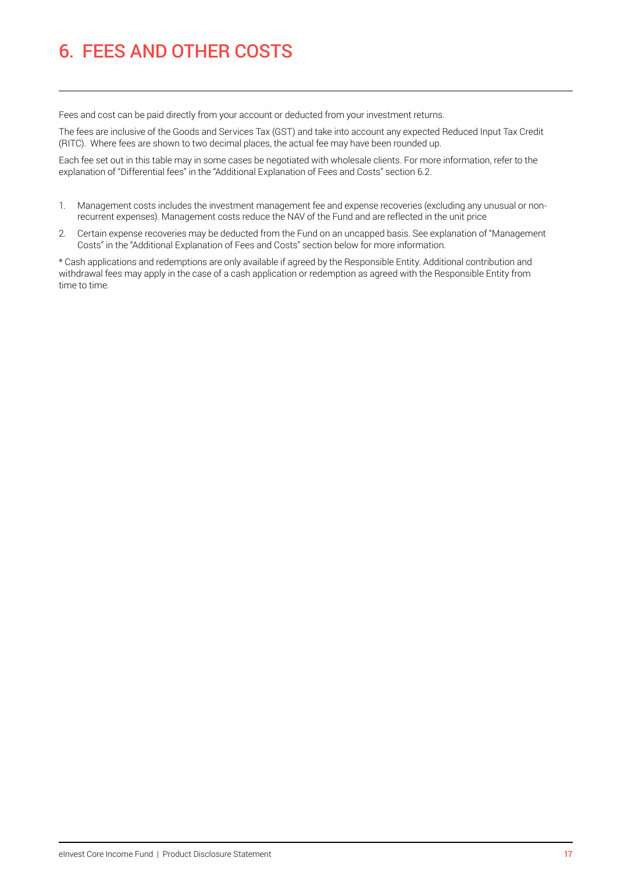Fees and cost can be paid directly from your account or deducted from your investment returns.

The fees are inclusive of the Goods and Services Tax (GST) and take into account any expected Reduced Input Tax Credit (RITC). Where fees are shown to two decimal places, the actual fee may have been rounded up.

Each fee set out in this table may in some cases be negotiated with wholesale clients. For more information, refer to the explanation of "Differential fees" in the "Additional Explanation of Fees and Costs" section 6.2.

- 1. Management costs includes the investment management fee and expense recoveries (excluding any unusual or nonrecurrent expenses). Management costs reduce the NAV of the Fund and are reflected in the unit price
- 2. Certain expense recoveries may be deducted from the Fund on an uncapped basis. See explanation of "Management Costs" in the "Additional Explanation of Fees and Costs" section below for more information.

\* Cash applications and redemptions are only available if agreed by the Responsible Entity. Additional contribution and withdrawal fees may apply in the case of a cash application or redemption as agreed with the Responsible Entity from time to time.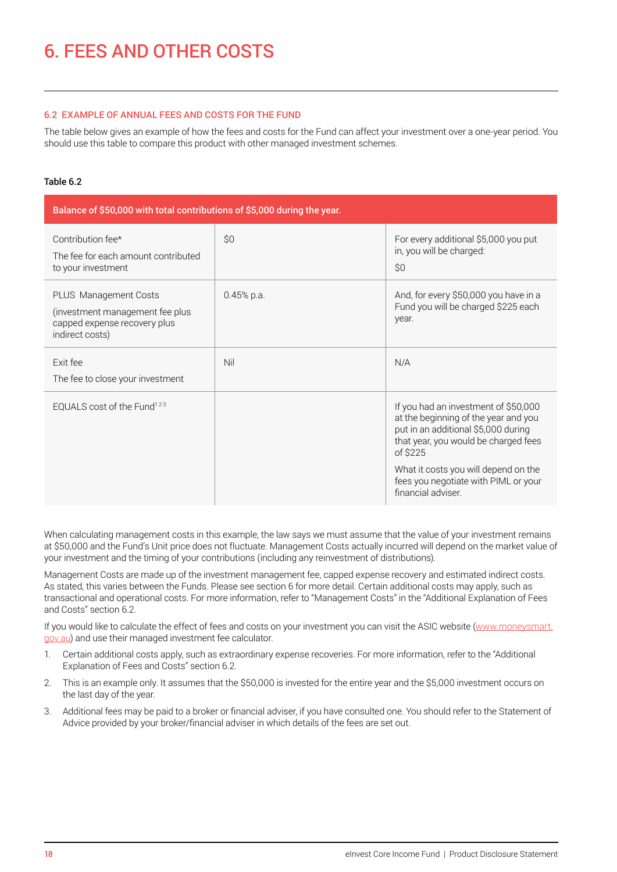### 6.2 EXAMPLE OF ANNUAL FEES AND COSTS FOR THE FUND

The table below gives an example of how the fees and costs for the Fund can affect your investment over a one-year period. You should use this table to compare this product with other managed investment schemes.

## Table 6.2

| Balance of \$50,000 with total contributions of \$5,000 during the year.                                    |              |                                                                                                                                                                         |  |
|-------------------------------------------------------------------------------------------------------------|--------------|-------------------------------------------------------------------------------------------------------------------------------------------------------------------------|--|
| Contribution fee*<br>The fee for each amount contributed<br>to your investment                              | \$0          | For every additional \$5,000 you put<br>in, you will be charged:<br>\$0                                                                                                 |  |
| PLUS Management Costs<br>(investment management fee plus<br>capped expense recovery plus<br>indirect costs) | $0.45%$ p.a. | And, for every \$50,000 you have in a<br>Fund you will be charged \$225 each<br>year.                                                                                   |  |
| Exit fee<br>The fee to close your investment                                                                | Nil          | N/A                                                                                                                                                                     |  |
| EQUALS cost of the Fund <sup>123</sup>                                                                      |              | If you had an investment of \$50,000<br>at the beginning of the year and you<br>put in an additional \$5,000 during<br>that year, you would be charged fees<br>of \$225 |  |
|                                                                                                             |              | What it costs you will depend on the<br>fees you negotiate with PIML or your<br>financial adviser.                                                                      |  |

When calculating management costs in this example, the law says we must assume that the value of your investment remains at \$50,000 and the Fund's Unit price does not fluctuate. Management Costs actually incurred will depend on the market value of your investment and the timing of your contributions (including any reinvestment of distributions).

Management Costs are made up of the investment management fee, capped expense recovery and estimated indirect costs. As stated, this varies between the Funds. Please see section 6 for more detail. Certain additional costs may apply, such as transactional and operational costs. For more information, refer to "Management Costs" in the "Additional Explanation of Fees and Costs" section 6.2.

If you would like to calculate the effect of fees and costs on your investment you can visit the ASIC website [\(www.moneysmart.](http://www.moneysmart.gov.au) [gov.au\)](http://www.moneysmart.gov.au) and use their managed investment fee calculator.

- 1. Certain additional costs apply, such as extraordinary expense recoveries. For more information, refer to the "Additional Explanation of Fees and Costs" section 6.2.
- 2. This is an example only. It assumes that the \$50,000 is invested for the entire year and the \$5,000 investment occurs on the last day of the year.
- 3. Additional fees may be paid to a broker or financial adviser, if you have consulted one. You should refer to the Statement of Advice provided by your broker/financial adviser in which details of the fees are set out.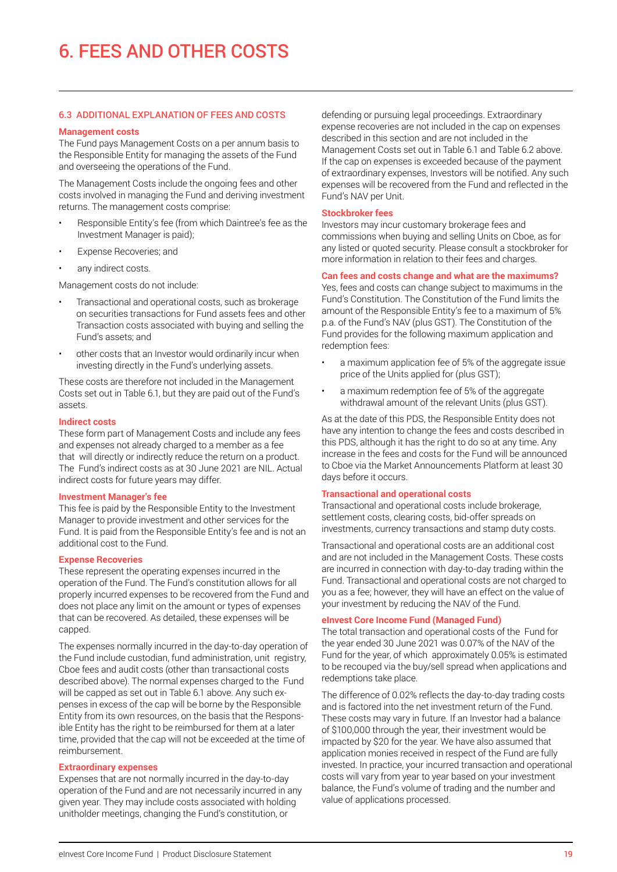#### 6.3 ADDITIONAL EXPLANATION OF FEES AND COSTS

#### **Management costs**

The Fund pays Management Costs on a per annum basis to the Responsible Entity for managing the assets of the Fund and overseeing the operations of the Fund.

The Management Costs include the ongoing fees and other costs involved in managing the Fund and deriving investment returns. The management costs comprise:

- Responsible Entity's fee (from which Daintree's fee as the Investment Manager is paid);
- Expense Recoveries; and
- any indirect costs.

Management costs do not include:

- Transactional and operational costs, such as brokerage on securities transactions for Fund assets fees and other Transaction costs associated with buying and selling the Fund's assets; and
- other costs that an Investor would ordinarily incur when investing directly in the Fund's underlying assets.

These costs are therefore not included in the Management Costs set out in Table 6.1, but they are paid out of the Fund's assets.

#### **Indirect costs**

These form part of Management Costs and include any fees and expenses not already charged to a member as a fee that will directly or indirectly reduce the return on a product. The Fund's indirect costs as at 30 June 2021 are NIL. Actual indirect costs for future years may differ.

#### **Investment Manager's fee**

This fee is paid by the Responsible Entity to the Investment Manager to provide investment and other services for the Fund. It is paid from the Responsible Entity's fee and is not an additional cost to the Fund.

#### **Expense Recoveries**

These represent the operating expenses incurred in the operation of the Fund. The Fund's constitution allows for all properly incurred expenses to be recovered from the Fund and does not place any limit on the amount or types of expenses that can be recovered. As detailed, these expenses will be capped.

The expenses normally incurred in the day-to-day operation of the Fund include custodian, fund administration, unit registry, Cboe fees and audit costs (other than transactional costs described above). The normal expenses charged to the Fund will be capped as set out in Table 6.1 above. Any such expenses in excess of the cap will be borne by the Responsible Entity from its own resources, on the basis that the Responsible Entity has the right to be reimbursed for them at a later time, provided that the cap will not be exceeded at the time of reimbursement.

#### **Extraordinary expenses**

Expenses that are not normally incurred in the day-to-day operation of the Fund and are not necessarily incurred in any given year. They may include costs associated with holding unitholder meetings, changing the Fund's constitution, or

defending or pursuing legal proceedings. Extraordinary expense recoveries are not included in the cap on expenses described in this section and are not included in the Management Costs set out in Table 6.1 and Table 6.2 above. If the cap on expenses is exceeded because of the payment of extraordinary expenses, Investors will be notified. Any such expenses will be recovered from the Fund and reflected in the Fund's NAV per Unit.

#### **Stockbroker fees**

Investors may incur customary brokerage fees and commissions when buying and selling Units on Cboe, as for any listed or quoted security. Please consult a stockbroker for more information in relation to their fees and charges.

#### **Can fees and costs change and what are the maximums?**

Yes, fees and costs can change subject to maximums in the Fund's Constitution. The Constitution of the Fund limits the amount of the Responsible Entity's fee to a maximum of 5% p.a. of the Fund's NAV (plus GST). The Constitution of the Fund provides for the following maximum application and redemption fees:

- a maximum application fee of 5% of the aggregate issue price of the Units applied for (plus GST);
- a maximum redemption fee of 5% of the aggregate withdrawal amount of the relevant Units (plus GST).

As at the date of this PDS, the Responsible Entity does not have any intention to change the fees and costs described in this PDS, although it has the right to do so at any time. Any increase in the fees and costs for the Fund will be announced to Cboe via the Market Announcements Platform at least 30 days before it occurs.

#### **Transactional and operational costs**

Transactional and operational costs include brokerage, settlement costs, clearing costs, bid-offer spreads on investments, currency transactions and stamp duty costs.

Transactional and operational costs are an additional cost and are not included in the Management Costs. These costs are incurred in connection with day-to-day trading within the Fund. Transactional and operational costs are not charged to you as a fee; however, they will have an effect on the value of your investment by reducing the NAV of the Fund.

#### **eInvest Core Income Fund (Managed Fund)**

The total transaction and operational costs of the Fund for the year ended 30 June 2021 was 0.07% of the NAV of the Fund for the year, of which approximately 0.05% is estimated to be recouped via the buy/sell spread when applications and redemptions take place.

The difference of 0.02% reflects the day-to-day trading costs and is factored into the net investment return of the Fund. These costs may vary in future. If an Investor had a balance of \$100,000 through the year, their investment would be impacted by \$20 for the year. We have also assumed that application monies received in respect of the Fund are fully invested. In practice, your incurred transaction and operational costs will vary from year to year based on your investment balance, the Fund's volume of trading and the number and value of applications processed.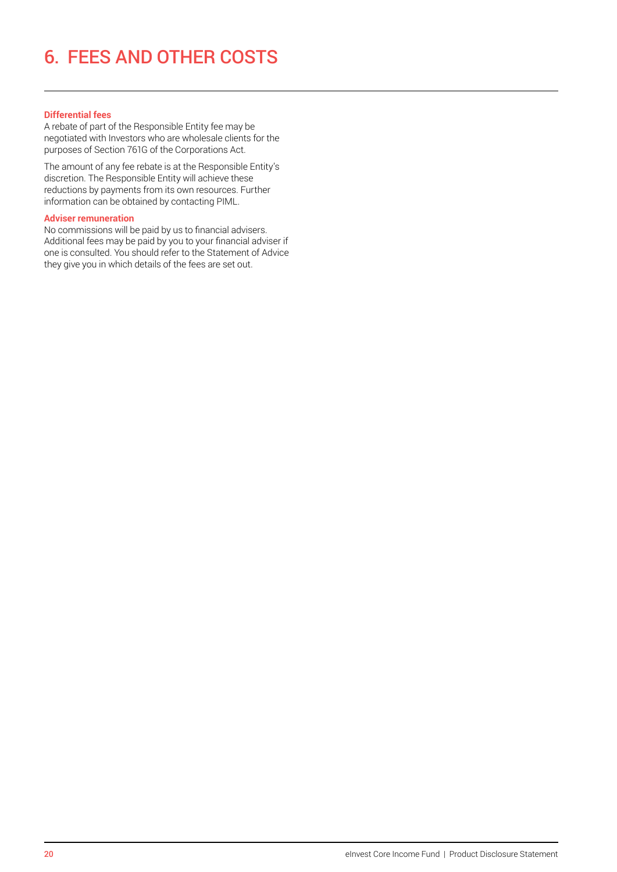## **Differential fees**

A rebate of part of the Responsible Entity fee may be negotiated with Investors who are wholesale clients for the purposes of Section 761G of the Corporations Act.

The amount of any fee rebate is at the Responsible Entity's discretion. The Responsible Entity will achieve these reductions by payments from its own resources. Further information can be obtained by contacting PIML.

### **Adviser remuneration**

No commissions will be paid by us to financial advisers. Additional fees may be paid by you to your financial adviser if one is consulted. You should refer to the Statement of Advice they give you in which details of the fees are set out.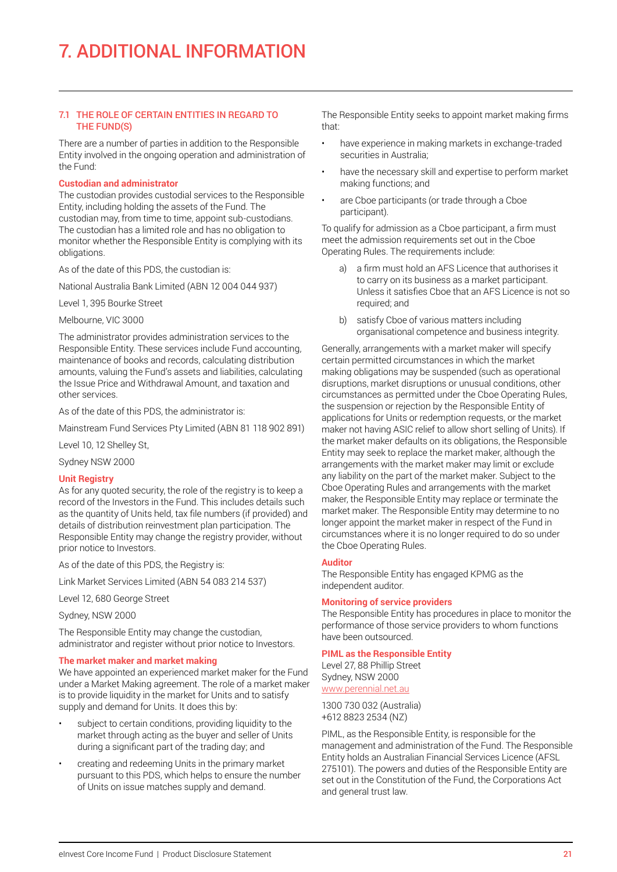### 7.1 THE ROLE OF CERTAIN ENTITIES IN REGARD TO THE FUND(S)

There are a number of parties in addition to the Responsible Entity involved in the ongoing operation and administration of the Fund:

#### **Custodian and administrator**

The custodian provides custodial services to the Responsible Entity, including holding the assets of the Fund. The custodian may, from time to time, appoint sub-custodians. The custodian has a limited role and has no obligation to monitor whether the Responsible Entity is complying with its obligations.

As of the date of this PDS, the custodian is:

National Australia Bank Limited (ABN 12 004 044 937)

Level 1, 395 Bourke Street

Melbourne, VIC 3000

The administrator provides administration services to the Responsible Entity. These services include Fund accounting, maintenance of books and records, calculating distribution amounts, valuing the Fund's assets and liabilities, calculating the Issue Price and Withdrawal Amount, and taxation and other services.

As of the date of this PDS, the administrator is:

Mainstream Fund Services Pty Limited (ABN 81 118 902 891)

Level 10, 12 Shelley St,

Sydney NSW 2000

## **Unit Registry**

As for any quoted security, the role of the registry is to keep a record of the Investors in the Fund. This includes details such as the quantity of Units held, tax file numbers (if provided) and details of distribution reinvestment plan participation. The Responsible Entity may change the registry provider, without prior notice to Investors.

As of the date of this PDS, the Registry is:

Link Market Services Limited (ABN 54 083 214 537)

Level 12, 680 George Street

Sydney, NSW 2000

The Responsible Entity may change the custodian, administrator and register without prior notice to Investors.

## **The market maker and market making**

We have appointed an experienced market maker for the Fund under a Market Making agreement. The role of a market maker is to provide liquidity in the market for Units and to satisfy supply and demand for Units. It does this by:

- subject to certain conditions, providing liquidity to the market through acting as the buyer and seller of Units during a significant part of the trading day; and
- creating and redeeming Units in the primary market pursuant to this PDS, which helps to ensure the number of Units on issue matches supply and demand.

The Responsible Entity seeks to appoint market making firms that:

- have experience in making markets in exchange-traded securities in Australia;
- have the necessary skill and expertise to perform market making functions; and
- are Cboe participants (or trade through a Cboe participant).

To qualify for admission as a Cboe participant, a firm must meet the admission requirements set out in the Cboe Operating Rules. The requirements include:

- a) a firm must hold an AFS Licence that authorises it to carry on its business as a market participant. Unless it satisfies Cboe that an AFS Licence is not so required; and
- b) satisfy Cboe of various matters including organisational competence and business integrity.

Generally, arrangements with a market maker will specify certain permitted circumstances in which the market making obligations may be suspended (such as operational disruptions, market disruptions or unusual conditions, other circumstances as permitted under the Cboe Operating Rules, the suspension or rejection by the Responsible Entity of applications for Units or redemption requests, or the market maker not having ASIC relief to allow short selling of Units). If the market maker defaults on its obligations, the Responsible Entity may seek to replace the market maker, although the arrangements with the market maker may limit or exclude any liability on the part of the market maker. Subject to the Cboe Operating Rules and arrangements with the market maker, the Responsible Entity may replace or terminate the market maker. The Responsible Entity may determine to no longer appoint the market maker in respect of the Fund in circumstances where it is no longer required to do so under the Cboe Operating Rules.

## **Auditor**

The Responsible Entity has engaged KPMG as the independent auditor.

## **Monitoring of service providers**

The Responsible Entity has procedures in place to monitor the performance of those service providers to whom functions have been outsourced.

## **PIML as the Responsible Entity**

Level 27, 88 Phillip Street Sydney, NSW 2000 [www.perennial.net.au](http://www.perennial.net.au)

1300 730 032 (Australia) +612 8823 2534 (NZ)

PIML, as the Responsible Entity, is responsible for the management and administration of the Fund. The Responsible Entity holds an Australian Financial Services Licence (AFSL 275101). The powers and duties of the Responsible Entity are set out in the Constitution of the Fund, the Corporations Act and general trust law.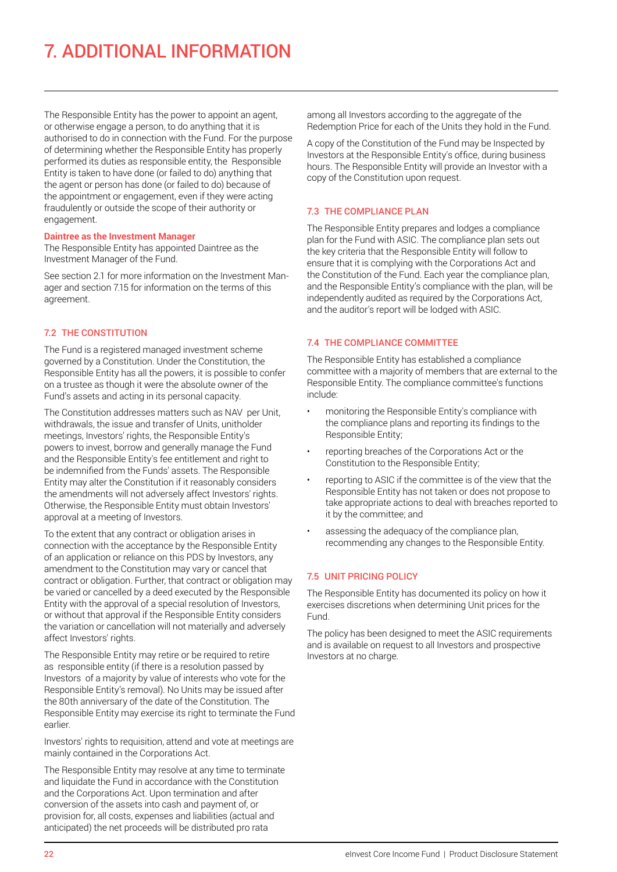## 7. ADDITIONAL INFORMATION

The Responsible Entity has the power to appoint an agent, or otherwise engage a person, to do anything that it is authorised to do in connection with the Fund. For the purpose of determining whether the Responsible Entity has properly performed its duties as responsible entity, the Responsible Entity is taken to have done (or failed to do) anything that the agent or person has done (or failed to do) because of the appointment or engagement, even if they were acting fraudulently or outside the scope of their authority or engagement.

#### **Daintree as the Investment Manager**

The Responsible Entity has appointed Daintree as the Investment Manager of the Fund.

See section 2.1 for more information on the Investment Manager and section 7.15 for information on the terms of this agreement.

## 7.2 THE CONSTITUTION

The Fund is a registered managed investment scheme governed by a Constitution. Under the Constitution, the Responsible Entity has all the powers, it is possible to confer on a trustee as though it were the absolute owner of the Fund's assets and acting in its personal capacity.

The Constitution addresses matters such as NAV per Unit, withdrawals, the issue and transfer of Units, unitholder meetings, Investors' rights, the Responsible Entity's powers to invest, borrow and generally manage the Fund and the Responsible Entity's fee entitlement and right to be indemnified from the Funds' assets. The Responsible Entity may alter the Constitution if it reasonably considers the amendments will not adversely affect Investors' rights. Otherwise, the Responsible Entity must obtain Investors' approval at a meeting of Investors.

To the extent that any contract or obligation arises in connection with the acceptance by the Responsible Entity of an application or reliance on this PDS by Investors, any amendment to the Constitution may vary or cancel that contract or obligation. Further, that contract or obligation may be varied or cancelled by a deed executed by the Responsible Entity with the approval of a special resolution of Investors, or without that approval if the Responsible Entity considers the variation or cancellation will not materially and adversely affect Investors' rights.

The Responsible Entity may retire or be required to retire as responsible entity (if there is a resolution passed by Investors of a majority by value of interests who vote for the Responsible Entity's removal). No Units may be issued after the 80th anniversary of the date of the Constitution. The Responsible Entity may exercise its right to terminate the Fund earlier.

Investors' rights to requisition, attend and vote at meetings are mainly contained in the Corporations Act.

The Responsible Entity may resolve at any time to terminate and liquidate the Fund in accordance with the Constitution and the Corporations Act. Upon termination and after conversion of the assets into cash and payment of, or provision for, all costs, expenses and liabilities (actual and anticipated) the net proceeds will be distributed pro rata

among all Investors according to the aggregate of the Redemption Price for each of the Units they hold in the Fund.

A copy of the Constitution of the Fund may be Inspected by Investors at the Responsible Entity's office, during business hours. The Responsible Entity will provide an Investor with a copy of the Constitution upon request.

## 7.3 THE COMPLIANCE PLAN

The Responsible Entity prepares and lodges a compliance plan for the Fund with ASIC. The compliance plan sets out the key criteria that the Responsible Entity will follow to ensure that it is complying with the Corporations Act and the Constitution of the Fund. Each year the compliance plan, and the Responsible Entity's compliance with the plan, will be independently audited as required by the Corporations Act, and the auditor's report will be lodged with ASIC.

## 7.4 THE COMPLIANCE COMMITTEE

The Responsible Entity has established a compliance committee with a majority of members that are external to the Responsible Entity. The compliance committee's functions include:

- monitoring the Responsible Entity's compliance with the compliance plans and reporting its findings to the Responsible Entity;
- reporting breaches of the Corporations Act or the Constitution to the Responsible Entity;
- reporting to ASIC if the committee is of the view that the Responsible Entity has not taken or does not propose to take appropriate actions to deal with breaches reported to it by the committee; and
- assessing the adequacy of the compliance plan, recommending any changes to the Responsible Entity.

## 7.5 UNIT PRICING POLICY

The Responsible Entity has documented its policy on how it exercises discretions when determining Unit prices for the Fund.

The policy has been designed to meet the ASIC requirements and is available on request to all Investors and prospective Investors at no charge.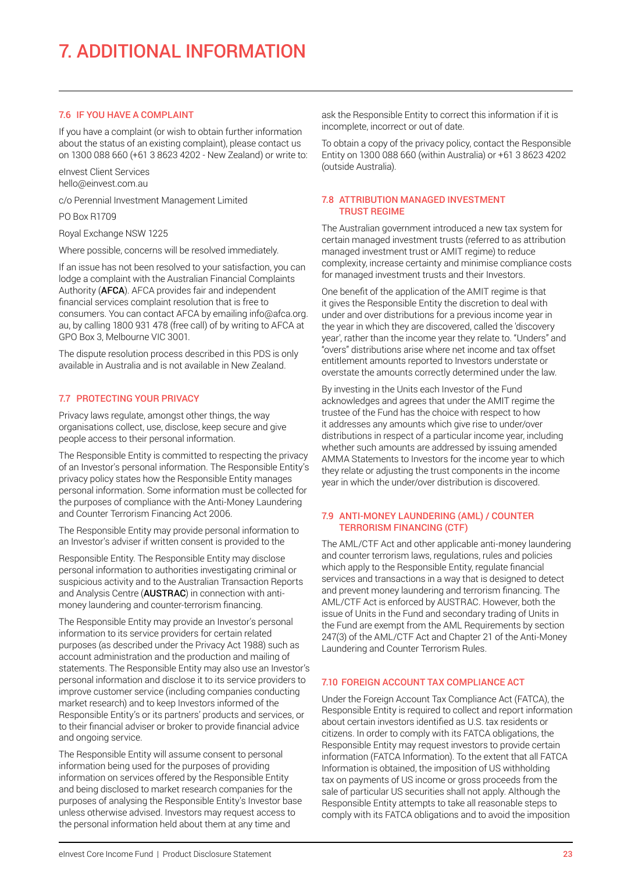## 7.6 IF YOU HAVE A COMPLAINT

If you have a complaint (or wish to obtain further information about the status of an existing complaint), please contact us on 1300 088 660 (+61 3 8623 4202 - New Zealand) or write to:

eInvest Client Services hello@einvest.com.au

c/o Perennial Investment Management Limited

PO Box R1709

Royal Exchange NSW 1225

Where possible, concerns will be resolved immediately.

If an issue has not been resolved to your satisfaction, you can lodge a complaint with the Australian Financial Complaints Authority (AFCA). AFCA provides fair and independent financial services complaint resolution that is free to consumers. You can contact AFCA by emailing info@afca.org. au, by calling 1800 931 478 (free call) of by writing to AFCA at GPO Box 3, Melbourne VIC 3001.

The dispute resolution process described in this PDS is only available in Australia and is not available in New Zealand.

## 7.7 PROTECTING YOUR PRIVACY

Privacy laws regulate, amongst other things, the way organisations collect, use, disclose, keep secure and give people access to their personal information.

The Responsible Entity is committed to respecting the privacy of an Investor's personal information. The Responsible Entity's privacy policy states how the Responsible Entity manages personal information. Some information must be collected for the purposes of compliance with the Anti-Money Laundering and Counter Terrorism Financing Act 2006.

The Responsible Entity may provide personal information to an Investor's adviser if written consent is provided to the

Responsible Entity. The Responsible Entity may disclose personal information to authorities investigating criminal or suspicious activity and to the Australian Transaction Reports and Analysis Centre (AUSTRAC) in connection with antimoney laundering and counter-terrorism financing.

The Responsible Entity may provide an Investor's personal information to its service providers for certain related purposes (as described under the Privacy Act 1988) such as account administration and the production and mailing of statements. The Responsible Entity may also use an Investor's personal information and disclose it to its service providers to improve customer service (including companies conducting market research) and to keep Investors informed of the Responsible Entity's or its partners' products and services, or to their financial adviser or broker to provide financial advice and ongoing service.

The Responsible Entity will assume consent to personal information being used for the purposes of providing information on services offered by the Responsible Entity and being disclosed to market research companies for the purposes of analysing the Responsible Entity's Investor base unless otherwise advised. Investors may request access to the personal information held about them at any time and

ask the Responsible Entity to correct this information if it is incomplete, incorrect or out of date.

To obtain a copy of the privacy policy, contact the Responsible Entity on 1300 088 660 (within Australia) or +61 3 8623 4202 (outside Australia).

## 7.8 ATTRIBUTION MANAGED INVESTMENT TRUST REGIME

The Australian government introduced a new tax system for certain managed investment trusts (referred to as attribution managed investment trust or AMIT regime) to reduce complexity, increase certainty and minimise compliance costs for managed investment trusts and their Investors.

One benefit of the application of the AMIT regime is that it gives the Responsible Entity the discretion to deal with under and over distributions for a previous income year in the year in which they are discovered, called the 'discovery year', rather than the income year they relate to. "Unders" and "overs" distributions arise where net income and tax offset entitlement amounts reported to Investors understate or overstate the amounts correctly determined under the law.

By investing in the Units each Investor of the Fund acknowledges and agrees that under the AMIT regime the trustee of the Fund has the choice with respect to how it addresses any amounts which give rise to under/over distributions in respect of a particular income year, including whether such amounts are addressed by issuing amended AMMA Statements to Investors for the income year to which they relate or adjusting the trust components in the income year in which the under/over distribution is discovered.

## 7.9 ANTI-MONEY LAUNDERING (AML) / COUNTER TERRORISM FINANCING (CTF)

The AML/CTF Act and other applicable anti-money laundering and counter terrorism laws, regulations, rules and policies which apply to the Responsible Entity, regulate financial services and transactions in a way that is designed to detect and prevent money laundering and terrorism financing. The AML/CTF Act is enforced by AUSTRAC. However, both the issue of Units in the Fund and secondary trading of Units in the Fund are exempt from the AML Requirements by section 247(3) of the AML/CTF Act and Chapter 21 of the Anti-Money Laundering and Counter Terrorism Rules.

## 7.10 FOREIGN ACCOUNT TAX COMPLIANCE ACT

Under the Foreign Account Tax Compliance Act (FATCA), the Responsible Entity is required to collect and report information about certain investors identified as U.S. tax residents or citizens. In order to comply with its FATCA obligations, the Responsible Entity may request investors to provide certain information (FATCA Information). To the extent that all FATCA Information is obtained, the imposition of US withholding tax on payments of US income or gross proceeds from the sale of particular US securities shall not apply. Although the Responsible Entity attempts to take all reasonable steps to comply with its FATCA obligations and to avoid the imposition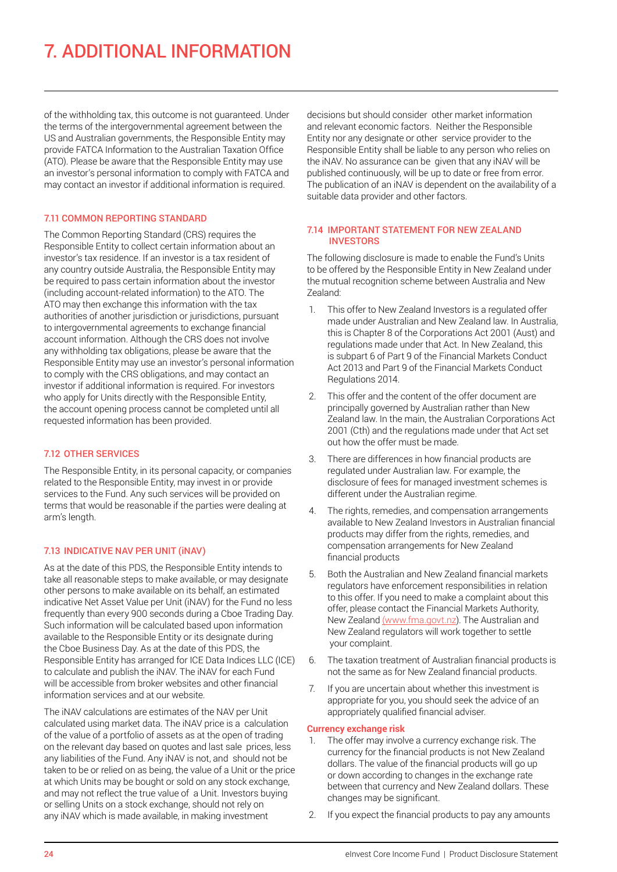## 7. ADDITIONAL INFORMATION

of the withholding tax, this outcome is not guaranteed. Under the terms of the intergovernmental agreement between the US and Australian governments, the Responsible Entity may provide FATCA Information to the Australian Taxation Office (ATO). Please be aware that the Responsible Entity may use an investor's personal information to comply with FATCA and may contact an investor if additional information is required.

## 7.11 COMMON REPORTING STANDARD

The Common Reporting Standard (CRS) requires the Responsible Entity to collect certain information about an investor's tax residence. If an investor is a tax resident of any country outside Australia, the Responsible Entity may be required to pass certain information about the investor (including account-related information) to the ATO. The ATO may then exchange this information with the tax authorities of another jurisdiction or jurisdictions, pursuant to intergovernmental agreements to exchange financial account information. Although the CRS does not involve any withholding tax obligations, please be aware that the Responsible Entity may use an investor's personal information to comply with the CRS obligations, and may contact an investor if additional information is required. For investors who apply for Units directly with the Responsible Entity, the account opening process cannot be completed until all requested information has been provided.

## 7.12 OTHER SERVICES

The Responsible Entity, in its personal capacity, or companies related to the Responsible Entity, may invest in or provide services to the Fund. Any such services will be provided on terms that would be reasonable if the parties were dealing at arm's length.

## 7.13 INDICATIVE NAV PER UNIT (iNAV)

As at the date of this PDS, the Responsible Entity intends to take all reasonable steps to make available, or may designate other persons to make available on its behalf, an estimated indicative Net Asset Value per Unit (iNAV) for the Fund no less frequently than every 900 seconds during a Cboe Trading Day. Such information will be calculated based upon information available to the Responsible Entity or its designate during the Cboe Business Day. As at the date of this PDS, the Responsible Entity has arranged for ICE Data Indices LLC (ICE) to calculate and publish the iNAV. The iNAV for each Fund will be accessible from broker websites and other financial information services and at our website.

The iNAV calculations are estimates of the NAV per Unit calculated using market data. The iNAV price is a calculation of the value of a portfolio of assets as at the open of trading on the relevant day based on quotes and last sale prices, less any liabilities of the Fund. Any iNAV is not, and should not be taken to be or relied on as being, the value of a Unit or the price at which Units may be bought or sold on any stock exchange, and may not reflect the true value of a Unit. Investors buying or selling Units on a stock exchange, should not rely on any iNAV which is made available, in making investment

decisions but should consider other market information and relevant economic factors. Neither the Responsible Entity nor any designate or other service provider to the Responsible Entity shall be liable to any person who relies on the iNAV. No assurance can be given that any iNAV will be published continuously, will be up to date or free from error. The publication of an iNAV is dependent on the availability of a suitable data provider and other factors.

### 7.14 IMPORTANT STATEMENT FOR NEW ZEALAND **INVESTORS**

The following disclosure is made to enable the Fund's Units to be offered by the Responsible Entity in New Zealand under the mutual recognition scheme between Australia and New Zealand:

- 1. This offer to New Zealand Investors is a regulated offer made under Australian and New Zealand law. In Australia, this is Chapter 8 of the Corporations Act 2001 (Aust) and regulations made under that Act. In New Zealand, this is subpart 6 of Part 9 of the Financial Markets Conduct Act 2013 and Part 9 of the Financial Markets Conduct Regulations 2014.
- 2. This offer and the content of the offer document are principally governed by Australian rather than New Zealand law. In the main, the Australian Corporations Act 2001 (Cth) and the regulations made under that Act set out how the offer must be made.
- 3. There are differences in how financial products are regulated under Australian law. For example, the disclosure of fees for managed investment schemes is different under the Australian regime.
- 4. The rights, remedies, and compensation arrangements available to New Zealand Investors in Australian financial products may differ from the rights, remedies, and compensation arrangements for New Zealand financial products
- 5. Both the Australian and New Zealand financial markets regulators have enforcement responsibilities in relation to this offer. If you need to make a complaint about this offer, please contact the Financial Markets Authority, New Zealand [\(www.fma.govt.nz](http://(www.fma.govt.nz)). The Australian and New Zealand regulators will work together to settle your complaint.
- 6. The taxation treatment of Australian financial products is not the same as for New Zealand financial products.
- 7. If you are uncertain about whether this investment is appropriate for you, you should seek the advice of an appropriately qualified financial adviser.

## **Currency exchange risk**

- 1. The offer may involve a currency exchange risk. The currency for the financial products is not New Zealand dollars. The value of the financial products will go up or down according to changes in the exchange rate between that currency and New Zealand dollars. These changes may be significant.
- 2. If you expect the financial products to pay any amounts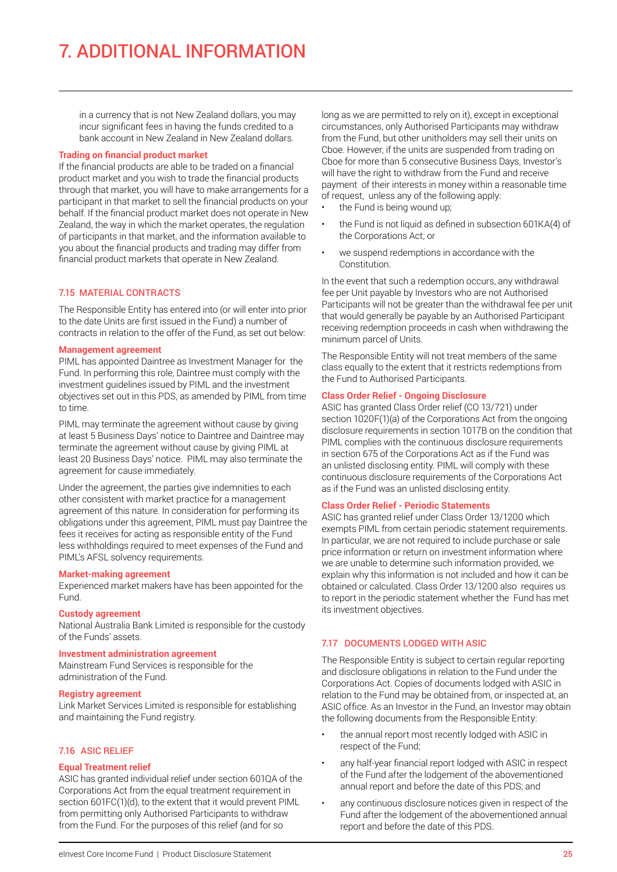in a currency that is not New Zealand dollars, you may incur significant fees in having the funds credited to a bank account in New Zealand in New Zealand dollars.

### **Trading on financial product market**

If the financial products are able to be traded on a financial product market and you wish to trade the financial products through that market, you will have to make arrangements for a participant in that market to sell the financial products on your behalf. If the financial product market does not operate in New Zealand, the way in which the market operates, the regulation of participants in that market, and the information available to you about the financial products and trading may differ from financial product markets that operate in New Zealand.

## 7.15 MATERIAL CONTRACTS

The Responsible Entity has entered into (or will enter into prior to the date Units are first issued in the Fund) a number of contracts in relation to the offer of the Fund, as set out below:

## **Management agreement**

PIML has appointed Daintree as Investment Manager for the Fund. In performing this role, Daintree must comply with the investment guidelines issued by PIML and the investment objectives set out in this PDS, as amended by PIML from time to time.

PIML may terminate the agreement without cause by giving at least 5 Business Days' notice to Daintree and Daintree may terminate the agreement without cause by giving PIML at least 20 Business Days' notice. PIML may also terminate the agreement for cause immediately.

Under the agreement, the parties give indemnities to each other consistent with market practice for a management agreement of this nature. In consideration for performing its obligations under this agreement, PIML must pay Daintree the fees it receives for acting as responsible entity of the Fund less withholdings required to meet expenses of the Fund and PIML's AFSL solvency requirements.

## **Market-making agreement**

Experienced market makers have has been appointed for the Fund.

#### **Custody agreement**

National Australia Bank Limited is responsible for the custody of the Funds' assets.

#### **Investment administration agreement**

Mainstream Fund Services is responsible for the administration of the Fund.

#### **Registry agreement**

Link Market Services Limited is responsible for establishing and maintaining the Fund registry.

## 7.16 ASIC RELIEF

## **Equal Treatment relief**

ASIC has granted individual relief under section 601QA of the Corporations Act from the equal treatment requirement in section 601FC(1)(d), to the extent that it would prevent PIML from permitting only Authorised Participants to withdraw from the Fund. For the purposes of this relief (and for so

long as we are permitted to rely on it), except in exceptional circumstances, only Authorised Participants may withdraw from the Fund, but other unitholders may sell their units on Cboe. However, if the units are suspended from trading on Cboe for more than 5 consecutive Business Days, Investor's will have the right to withdraw from the Fund and receive payment of their interests in money within a reasonable time of request, unless any of the following apply:

- the Fund is being wound up;
- the Fund is not liquid as defined in subsection 601KA(4) of the Corporations Act; or
- we suspend redemptions in accordance with the Constitution.

In the event that such a redemption occurs, any withdrawal fee per Unit payable by Investors who are not Authorised Participants will not be greater than the withdrawal fee per unit that would generally be payable by an Authorised Participant receiving redemption proceeds in cash when withdrawing the minimum parcel of Units.

The Responsible Entity will not treat members of the same class equally to the extent that it restricts redemptions from the Fund to Authorised Participants.

#### **Class Order Relief - Ongoing Disclosure**

ASIC has granted Class Order relief (CO 13/721) under section 1020F(1)(a) of the Corporations Act from the ongoing disclosure requirements in section 1017B on the condition that PIML complies with the continuous disclosure requirements in section 675 of the Corporations Act as if the Fund was an unlisted disclosing entity. PIML will comply with these continuous disclosure requirements of the Corporations Act as if the Fund was an unlisted disclosing entity.

## **Class Order Relief - Periodic Statements**

ASIC has granted relief under Class Order 13/1200 which exempts PIML from certain periodic statement requirements. In particular, we are not required to include purchase or sale price information or return on investment information where we are unable to determine such information provided, we explain why this information is not included and how it can be obtained or calculated. Class Order 13/1200 also requires us to report in the periodic statement whether the Fund has met its investment objectives.

## 7.17 DOCUMENTS LODGED WITH ASIC

The Responsible Entity is subject to certain regular reporting and disclosure obligations in relation to the Fund under the Corporations Act. Copies of documents lodged with ASIC in relation to the Fund may be obtained from, or inspected at, an ASIC office. As an Investor in the Fund, an Investor may obtain the following documents from the Responsible Entity:

- the annual report most recently lodged with ASIC in respect of the Fund;
- any half-year financial report lodged with ASIC in respect of the Fund after the lodgement of the abovementioned annual report and before the date of this PDS; and
- any continuous disclosure notices given in respect of the Fund after the lodgement of the abovementioned annual report and before the date of this PDS.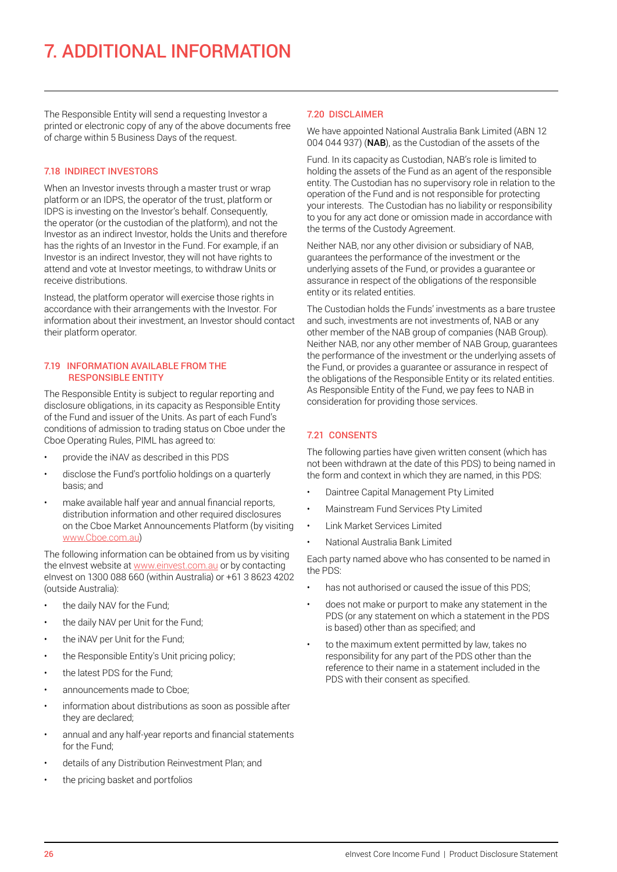The Responsible Entity will send a requesting Investor a printed or electronic copy of any of the above documents free of charge within 5 Business Days of the request.

## 7.18 INDIRECT INVESTORS

When an Investor invests through a master trust or wrap platform or an IDPS, the operator of the trust, platform or IDPS is investing on the Investor's behalf. Consequently, the operator (or the custodian of the platform), and not the Investor as an indirect Investor, holds the Units and therefore has the rights of an Investor in the Fund. For example, if an Investor is an indirect Investor, they will not have rights to attend and vote at Investor meetings, to withdraw Units or receive distributions.

Instead, the platform operator will exercise those rights in accordance with their arrangements with the Investor. For information about their investment, an Investor should contact their platform operator.

### 7.19 INFORMATION AVAILABLE FROM THE RESPONSIBLE ENTITY

The Responsible Entity is subject to regular reporting and disclosure obligations, in its capacity as Responsible Entity of the Fund and issuer of the Units. As part of each Fund's conditions of admission to trading status on Cboe under the Cboe Operating Rules, PIML has agreed to:

- provide the iNAV as described in this PDS
- disclose the Fund's portfolio holdings on a quarterly basis; and
- make available half year and annual financial reports, distribution information and other required disclosures on the Cboe Market Announcements Platform (by visiting [www.Cboe.com.au](http://www.CBOE.com.au))

The following information can be obtained from us by visiting the elnvest website at [www.einvest.com.au](http://www.einvest.com.au) or by contacting eInvest on 1300 088 660 (within Australia) or +61 3 8623 4202 (outside Australia):

- the daily NAV for the Fund;
- the daily NAV per Unit for the Fund;
- the iNAV per Unit for the Fund;
- the Responsible Entity's Unit pricing policy;
- the latest PDS for the Fund:
- announcements made to Cboe;
- information about distributions as soon as possible after they are declared;
- annual and any half-year reports and financial statements for the Fund;
- details of any Distribution Reinvestment Plan; and
- the pricing basket and portfolios

#### 7.20 DISCLAIMER

We have appointed National Australia Bank Limited (ABN 12 004 044 937) (NAB), as the Custodian of the assets of the

Fund. In its capacity as Custodian, NAB's role is limited to holding the assets of the Fund as an agent of the responsible entity. The Custodian has no supervisory role in relation to the operation of the Fund and is not responsible for protecting your interests. The Custodian has no liability or responsibility to you for any act done or omission made in accordance with the terms of the Custody Agreement.

Neither NAB, nor any other division or subsidiary of NAB, guarantees the performance of the investment or the underlying assets of the Fund, or provides a guarantee or assurance in respect of the obligations of the responsible entity or its related entities.

The Custodian holds the Funds' investments as a bare trustee and such, investments are not investments of, NAB or any other member of the NAB group of companies (NAB Group). Neither NAB, nor any other member of NAB Group, guarantees the performance of the investment or the underlying assets of the Fund, or provides a guarantee or assurance in respect of the obligations of the Responsible Entity or its related entities. As Responsible Entity of the Fund, we pay fees to NAB in consideration for providing those services.

## 7.21 CONSENTS

The following parties have given written consent (which has not been withdrawn at the date of this PDS) to being named in the form and context in which they are named, in this PDS:

- Daintree Capital Management Pty Limited
- Mainstream Fund Services Pty Limited
- Link Market Services Limited
- National Australia Bank Limited

Each party named above who has consented to be named in the PDS:

- has not authorised or caused the issue of this PDS:
- does not make or purport to make any statement in the PDS (or any statement on which a statement in the PDS is based) other than as specified; and
- to the maximum extent permitted by law, takes no responsibility for any part of the PDS other than the reference to their name in a statement included in the PDS with their consent as specified.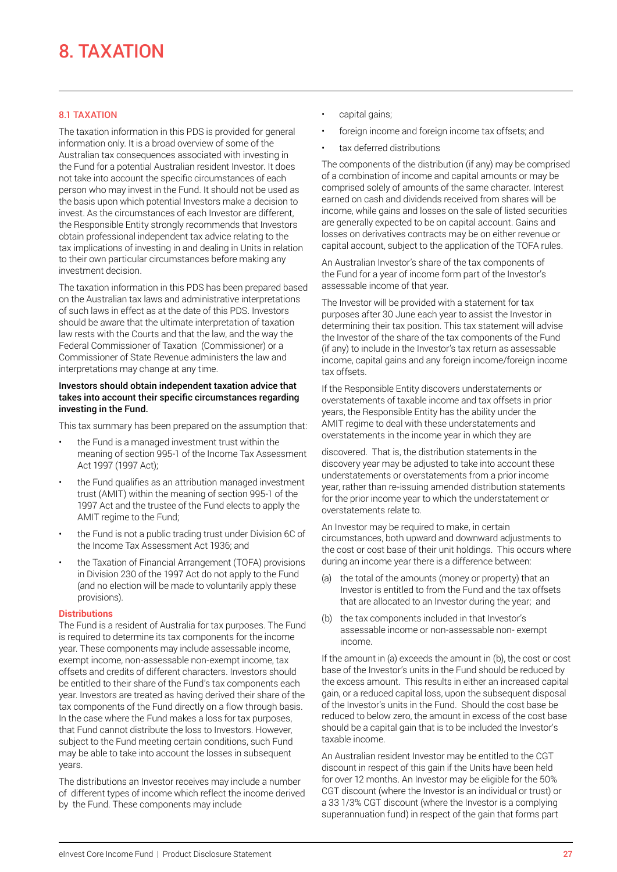## 8. TAXATION

## 8.1 TAXATION

The taxation information in this PDS is provided for general information only. It is a broad overview of some of the Australian tax consequences associated with investing in the Fund for a potential Australian resident Investor. It does not take into account the specific circumstances of each person who may invest in the Fund. It should not be used as the basis upon which potential Investors make a decision to invest. As the circumstances of each Investor are different, the Responsible Entity strongly recommends that Investors obtain professional independent tax advice relating to the tax implications of investing in and dealing in Units in relation to their own particular circumstances before making any investment decision.

The taxation information in this PDS has been prepared based on the Australian tax laws and administrative interpretations of such laws in effect as at the date of this PDS. Investors should be aware that the ultimate interpretation of taxation law rests with the Courts and that the law, and the way the Federal Commissioner of Taxation (Commissioner) or a Commissioner of State Revenue administers the law and interpretations may change at any time.

#### Investors should obtain independent taxation advice that takes into account their specific circumstances regarding investing in the Fund.

This tax summary has been prepared on the assumption that:

- the Fund is a managed investment trust within the meaning of section 995-1 of the Income Tax Assessment Act 1997 (1997 Act);
- the Fund qualifies as an attribution managed investment trust (AMIT) within the meaning of section 995-1 of the 1997 Act and the trustee of the Fund elects to apply the AMIT regime to the Fund:
- the Fund is not a public trading trust under Division 6C of the Income Tax Assessment Act 1936; and
- the Taxation of Financial Arrangement (TOFA) provisions in Division 230 of the 1997 Act do not apply to the Fund (and no election will be made to voluntarily apply these provisions).

## **Distributions**

The Fund is a resident of Australia for tax purposes. The Fund is required to determine its tax components for the income year. These components may include assessable income, exempt income, non-assessable non-exempt income, tax offsets and credits of different characters. Investors should be entitled to their share of the Fund's tax components each year. Investors are treated as having derived their share of the tax components of the Fund directly on a flow through basis. In the case where the Fund makes a loss for tax purposes, that Fund cannot distribute the loss to Investors. However, subject to the Fund meeting certain conditions, such Fund may be able to take into account the losses in subsequent years.

The distributions an Investor receives may include a number of different types of income which reflect the income derived by the Fund. These components may include

- capital gains;
- foreign income and foreign income tax offsets; and
- tax deferred distributions

The components of the distribution (if any) may be comprised of a combination of income and capital amounts or may be comprised solely of amounts of the same character. Interest earned on cash and dividends received from shares will be income, while gains and losses on the sale of listed securities are generally expected to be on capital account. Gains and losses on derivatives contracts may be on either revenue or capital account, subject to the application of the TOFA rules.

An Australian Investor's share of the tax components of the Fund for a year of income form part of the Investor's assessable income of that year.

The Investor will be provided with a statement for tax purposes after 30 June each year to assist the Investor in determining their tax position. This tax statement will advise the Investor of the share of the tax components of the Fund (if any) to include in the Investor's tax return as assessable income, capital gains and any foreign income/foreign income tax offsets.

If the Responsible Entity discovers understatements or overstatements of taxable income and tax offsets in prior years, the Responsible Entity has the ability under the AMIT regime to deal with these understatements and overstatements in the income year in which they are

discovered. That is, the distribution statements in the discovery year may be adjusted to take into account these understatements or overstatements from a prior income year, rather than re-issuing amended distribution statements for the prior income year to which the understatement or overstatements relate to.

An Investor may be required to make, in certain circumstances, both upward and downward adjustments to the cost or cost base of their unit holdings. This occurs where during an income year there is a difference between:

- (a) the total of the amounts (money or property) that an Investor is entitled to from the Fund and the tax offsets that are allocated to an Investor during the year; and
- (b) the tax components included in that Investor's assessable income or non-assessable non- exempt income.

If the amount in (a) exceeds the amount in (b), the cost or cost base of the Investor's units in the Fund should be reduced by the excess amount. This results in either an increased capital gain, or a reduced capital loss, upon the subsequent disposal of the Investor's units in the Fund. Should the cost base be reduced to below zero, the amount in excess of the cost base should be a capital gain that is to be included the Investor's taxable income.

An Australian resident Investor may be entitled to the CGT discount in respect of this gain if the Units have been held for over 12 months. An Investor may be eligible for the 50% CGT discount (where the Investor is an individual or trust) or a 33 1/3% CGT discount (where the Investor is a complying superannuation fund) in respect of the gain that forms part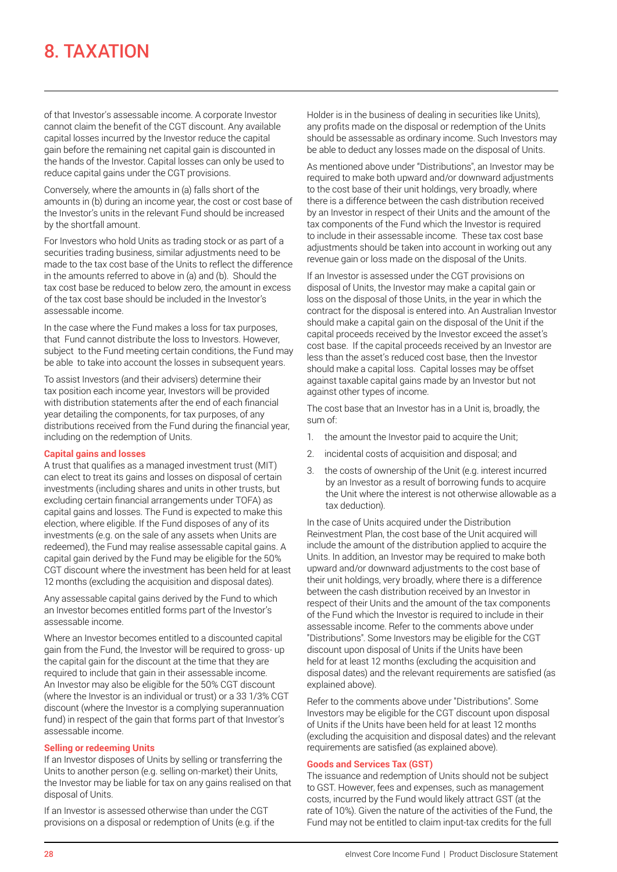## 8. TAXATION

of that Investor's assessable income. A corporate Investor cannot claim the benefit of the CGT discount. Any available capital losses incurred by the Investor reduce the capital gain before the remaining net capital gain is discounted in the hands of the Investor. Capital losses can only be used to reduce capital gains under the CGT provisions.

Conversely, where the amounts in (a) falls short of the amounts in (b) during an income year, the cost or cost base of the Investor's units in the relevant Fund should be increased by the shortfall amount.

For Investors who hold Units as trading stock or as part of a securities trading business, similar adjustments need to be made to the tax cost base of the Units to reflect the difference in the amounts referred to above in (a) and (b). Should the tax cost base be reduced to below zero, the amount in excess of the tax cost base should be included in the Investor's assessable income.

In the case where the Fund makes a loss for tax purposes, that Fund cannot distribute the loss to Investors. However, subject to the Fund meeting certain conditions, the Fund may be able to take into account the losses in subsequent years.

To assist Investors (and their advisers) determine their tax position each income year, Investors will be provided with distribution statements after the end of each financial year detailing the components, for tax purposes, of any distributions received from the Fund during the financial year, including on the redemption of Units.

## **Capital gains and losses**

A trust that qualifies as a managed investment trust (MIT) can elect to treat its gains and losses on disposal of certain investments (including shares and units in other trusts, but excluding certain financial arrangements under TOFA) as capital gains and losses. The Fund is expected to make this election, where eligible. If the Fund disposes of any of its investments (e.g. on the sale of any assets when Units are redeemed), the Fund may realise assessable capital gains. A capital gain derived by the Fund may be eligible for the 50% CGT discount where the investment has been held for at least 12 months (excluding the acquisition and disposal dates).

Any assessable capital gains derived by the Fund to which an Investor becomes entitled forms part of the Investor's assessable income.

Where an Investor becomes entitled to a discounted capital gain from the Fund, the Investor will be required to gross- up the capital gain for the discount at the time that they are required to include that gain in their assessable income. An Investor may also be eligible for the 50% CGT discount (where the Investor is an individual or trust) or a 33 1/3% CGT discount (where the Investor is a complying superannuation fund) in respect of the gain that forms part of that Investor's assessable income.

## **Selling or redeeming Units**

If an Investor disposes of Units by selling or transferring the Units to another person (e.g. selling on-market) their Units, the Investor may be liable for tax on any gains realised on that disposal of Units.

If an Investor is assessed otherwise than under the CGT provisions on a disposal or redemption of Units (e.g. if the Holder is in the business of dealing in securities like Units), any profits made on the disposal or redemption of the Units should be assessable as ordinary income. Such Investors may be able to deduct any losses made on the disposal of Units.

As mentioned above under "Distributions", an Investor may be required to make both upward and/or downward adjustments to the cost base of their unit holdings, very broadly, where there is a difference between the cash distribution received by an Investor in respect of their Units and the amount of the tax components of the Fund which the Investor is required to include in their assessable income. These tax cost base adjustments should be taken into account in working out any revenue gain or loss made on the disposal of the Units.

If an Investor is assessed under the CGT provisions on disposal of Units, the Investor may make a capital gain or loss on the disposal of those Units, in the year in which the contract for the disposal is entered into. An Australian Investor should make a capital gain on the disposal of the Unit if the capital proceeds received by the Investor exceed the asset's cost base. If the capital proceeds received by an Investor are less than the asset's reduced cost base, then the Investor should make a capital loss. Capital losses may be offset against taxable capital gains made by an Investor but not against other types of income.

The cost base that an Investor has in a Unit is, broadly, the sum of:

- 1. the amount the Investor paid to acquire the Unit;
- 2. incidental costs of acquisition and disposal; and
- 3. the costs of ownership of the Unit (e.g. interest incurred by an Investor as a result of borrowing funds to acquire the Unit where the interest is not otherwise allowable as a tax deduction).

In the case of Units acquired under the Distribution Reinvestment Plan, the cost base of the Unit acquired will include the amount of the distribution applied to acquire the Units. In addition, an Investor may be required to make both upward and/or downward adjustments to the cost base of their unit holdings, very broadly, where there is a difference between the cash distribution received by an Investor in respect of their Units and the amount of the tax components of the Fund which the Investor is required to include in their assessable income. Refer to the comments above under "Distributions". Some Investors may be eligible for the CGT discount upon disposal of Units if the Units have been held for at least 12 months (excluding the acquisition and disposal dates) and the relevant requirements are satisfied (as explained above).

Refer to the comments above under "Distributions". Some Investors may be eligible for the CGT discount upon disposal of Units if the Units have been held for at least 12 months (excluding the acquisition and disposal dates) and the relevant requirements are satisfied (as explained above).

## **Goods and Services Tax (GST)**

The issuance and redemption of Units should not be subject to GST. However, fees and expenses, such as management costs, incurred by the Fund would likely attract GST (at the rate of 10%). Given the nature of the activities of the Fund, the Fund may not be entitled to claim input-tax credits for the full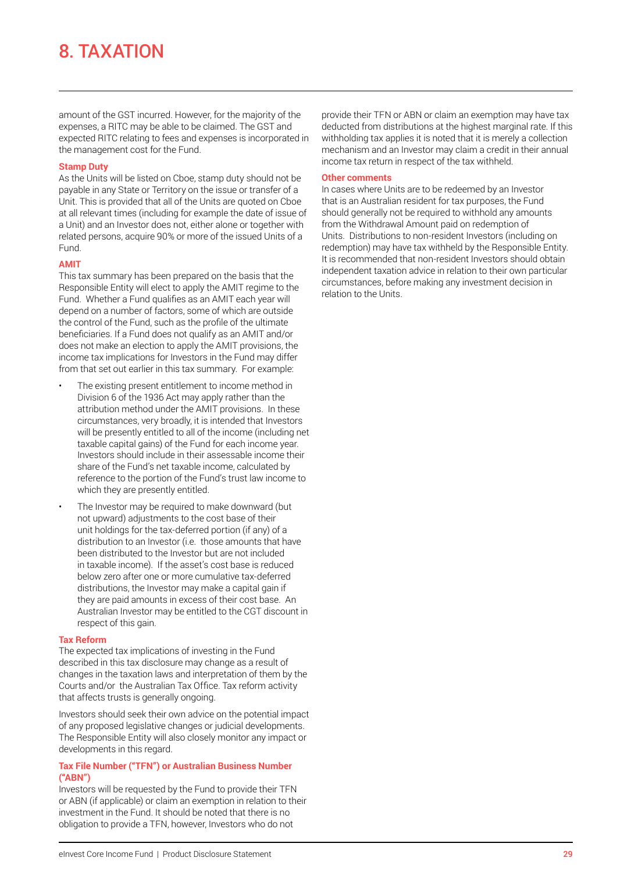## 8. TAXATION

amount of the GST incurred. However, for the majority of the expenses, a RITC may be able to be claimed. The GST and expected RITC relating to fees and expenses is incorporated in the management cost for the Fund.

#### **Stamp Duty**

As the Units will be listed on Cboe, stamp duty should not be payable in any State or Territory on the issue or transfer of a Unit. This is provided that all of the Units are quoted on Cboe at all relevant times (including for example the date of issue of a Unit) and an Investor does not, either alone or together with related persons, acquire 90% or more of the issued Units of a Fund.

## **AMIT**

This tax summary has been prepared on the basis that the Responsible Entity will elect to apply the AMIT regime to the Fund. Whether a Fund qualifies as an AMIT each year will depend on a number of factors, some of which are outside the control of the Fund, such as the profile of the ultimate beneficiaries. If a Fund does not qualify as an AMIT and/or does not make an election to apply the AMIT provisions, the income tax implications for Investors in the Fund may differ from that set out earlier in this tax summary. For example:

- The existing present entitlement to income method in Division 6 of the 1936 Act may apply rather than the attribution method under the AMIT provisions. In these circumstances, very broadly, it is intended that Investors will be presently entitled to all of the income (including net taxable capital gains) of the Fund for each income year. Investors should include in their assessable income their share of the Fund's net taxable income, calculated by reference to the portion of the Fund's trust law income to which they are presently entitled.
- The Investor may be required to make downward (but not upward) adjustments to the cost base of their unit holdings for the tax-deferred portion (if any) of a distribution to an Investor (i.e. those amounts that have been distributed to the Investor but are not included in taxable income). If the asset's cost base is reduced below zero after one or more cumulative tax-deferred distributions, the Investor may make a capital gain if they are paid amounts in excess of their cost base. An Australian Investor may be entitled to the CGT discount in respect of this gain.

## **Tax Reform**

The expected tax implications of investing in the Fund described in this tax disclosure may change as a result of changes in the taxation laws and interpretation of them by the Courts and/or the Australian Tax Office. Tax reform activity that affects trusts is generally ongoing.

Investors should seek their own advice on the potential impact of any proposed legislative changes or judicial developments. The Responsible Entity will also closely monitor any impact or developments in this regard.

## **Tax File Number ("TFN") or Australian Business Number ("ABN")**

Investors will be requested by the Fund to provide their TFN or ABN (if applicable) or claim an exemption in relation to their investment in the Fund. It should be noted that there is no obligation to provide a TFN, however, Investors who do not

provide their TFN or ABN or claim an exemption may have tax deducted from distributions at the highest marginal rate. If this withholding tax applies it is noted that it is merely a collection mechanism and an Investor may claim a credit in their annual income tax return in respect of the tax withheld.

#### **Other comments**

In cases where Units are to be redeemed by an Investor that is an Australian resident for tax purposes, the Fund should generally not be required to withhold any amounts from the Withdrawal Amount paid on redemption of Units. Distributions to non-resident Investors (including on redemption) may have tax withheld by the Responsible Entity. It is recommended that non-resident Investors should obtain independent taxation advice in relation to their own particular circumstances, before making any investment decision in relation to the Units.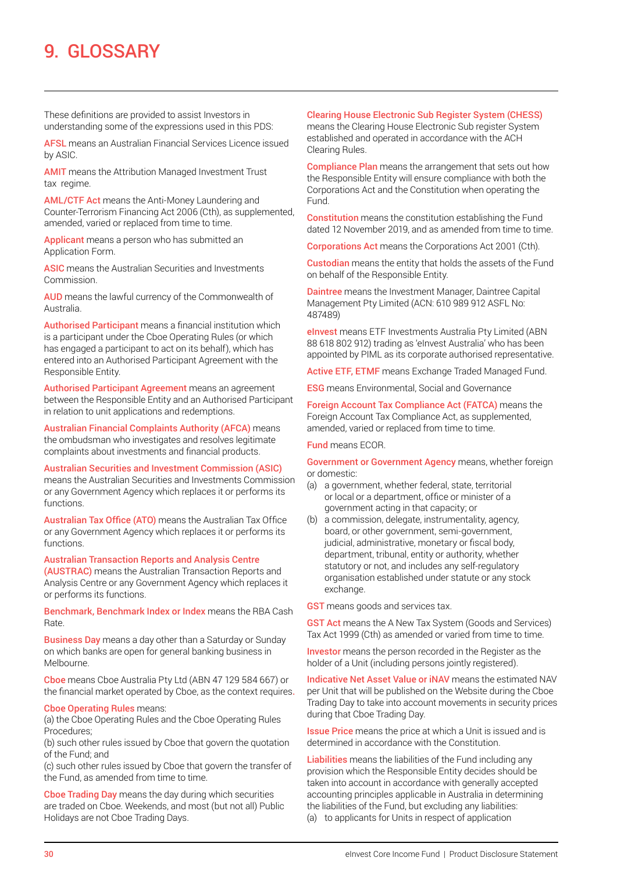## 9. GLOSSARY

These definitions are provided to assist Investors in understanding some of the expressions used in this PDS:

AFSL means an Australian Financial Services Licence issued by ASIC.

AMIT means the Attribution Managed Investment Trust tax regime.

AML/CTF Act means the Anti-Money Laundering and Counter-Terrorism Financing Act 2006 (Cth), as supplemented, amended, varied or replaced from time to time.

Applicant means a person who has submitted an Application Form.

ASIC means the Australian Securities and Investments Commission.

AUD means the lawful currency of the Commonwealth of Australia.

Authorised Participant means a financial institution which is a participant under the Cboe Operating Rules (or which has engaged a participant to act on its behalf), which has entered into an Authorised Participant Agreement with the Responsible Entity.

Authorised Participant Agreement means an agreement between the Responsible Entity and an Authorised Participant in relation to unit applications and redemptions.

Australian Financial Complaints Authority (AFCA) means the ombudsman who investigates and resolves legitimate complaints about investments and financial products.

## Australian Securities and Investment Commission (ASIC)

means the Australian Securities and Investments Commission or any Government Agency which replaces it or performs its functions.

Australian Tax Office (ATO) means the Australian Tax Office or any Government Agency which replaces it or performs its functions.

#### Australian Transaction Reports and Analysis Centre

(AUSTRAC) means the Australian Transaction Reports and Analysis Centre or any Government Agency which replaces it or performs its functions.

Benchmark, Benchmark Index or Index means the RBA Cash Rate.

Business Day means a day other than a Saturday or Sunday on which banks are open for general banking business in Melbourne.

Cboe means Cboe Australia Pty Ltd (ABN 47 129 584 667) or the financial market operated by Cboe, as the context requires.

#### Cboe Operating Rules means:

(a) the Cboe Operating Rules and the Cboe Operating Rules Procedures;

(b) such other rules issued by Cboe that govern the quotation of the Fund; and

(c) such other rules issued by Cboe that govern the transfer of the Fund, as amended from time to time.

Cboe Trading Day means the day during which securities are traded on Cboe. Weekends, and most (but not all) Public Holidays are not Cboe Trading Days.

#### Clearing House Electronic Sub Register System (CHESS)

means the Clearing House Electronic Sub register System established and operated in accordance with the ACH Clearing Rules.

Compliance Plan means the arrangement that sets out how the Responsible Entity will ensure compliance with both the Corporations Act and the Constitution when operating the Fund.

Constitution means the constitution establishing the Fund dated 12 November 2019, and as amended from time to time.

Corporations Act means the Corporations Act 2001 (Cth).

Custodian means the entity that holds the assets of the Fund on behalf of the Responsible Entity.

Daintree means the Investment Manager, Daintree Capital Management Pty Limited (ACN: 610 989 912 ASFL No: 487489)

eInvest means ETF Investments Australia Pty Limited (ABN 88 618 802 912) trading as 'eInvest Australia' who has been appointed by PIML as its corporate authorised representative.

Active ETF, ETMF means Exchange Traded Managed Fund.

ESG means Environmental, Social and Governance

Foreign Account Tax Compliance Act (FATCA) means the Foreign Account Tax Compliance Act, as supplemented, amended, varied or replaced from time to time.

#### Fund means ECOR.

Government or Government Agency means, whether foreign or domestic:

- (a) a government, whether federal, state, territorial or local or a department, office or minister of a government acting in that capacity; or
- (b) a commission, delegate, instrumentality, agency, board, or other government, semi-government, judicial, administrative, monetary or fiscal body, department, tribunal, entity or authority, whether statutory or not, and includes any self-regulatory organisation established under statute or any stock exchange.

**GST** means goods and services tax.

**GST Act** means the A New Tax System (Goods and Services) Tax Act 1999 (Cth) as amended or varied from time to time.

Investor means the person recorded in the Register as the holder of a Unit (including persons jointly registered).

Indicative Net Asset Value or iNAV means the estimated NAV per Unit that will be published on the Website during the Cboe Trading Day to take into account movements in security prices during that Cboe Trading Day.

**Issue Price** means the price at which a Unit is issued and is determined in accordance with the Constitution.

Liabilities means the liabilities of the Fund including any provision which the Responsible Entity decides should be taken into account in accordance with generally accepted accounting principles applicable in Australia in determining the liabilities of the Fund, but excluding any liabilities: (a) to applicants for Units in respect of application